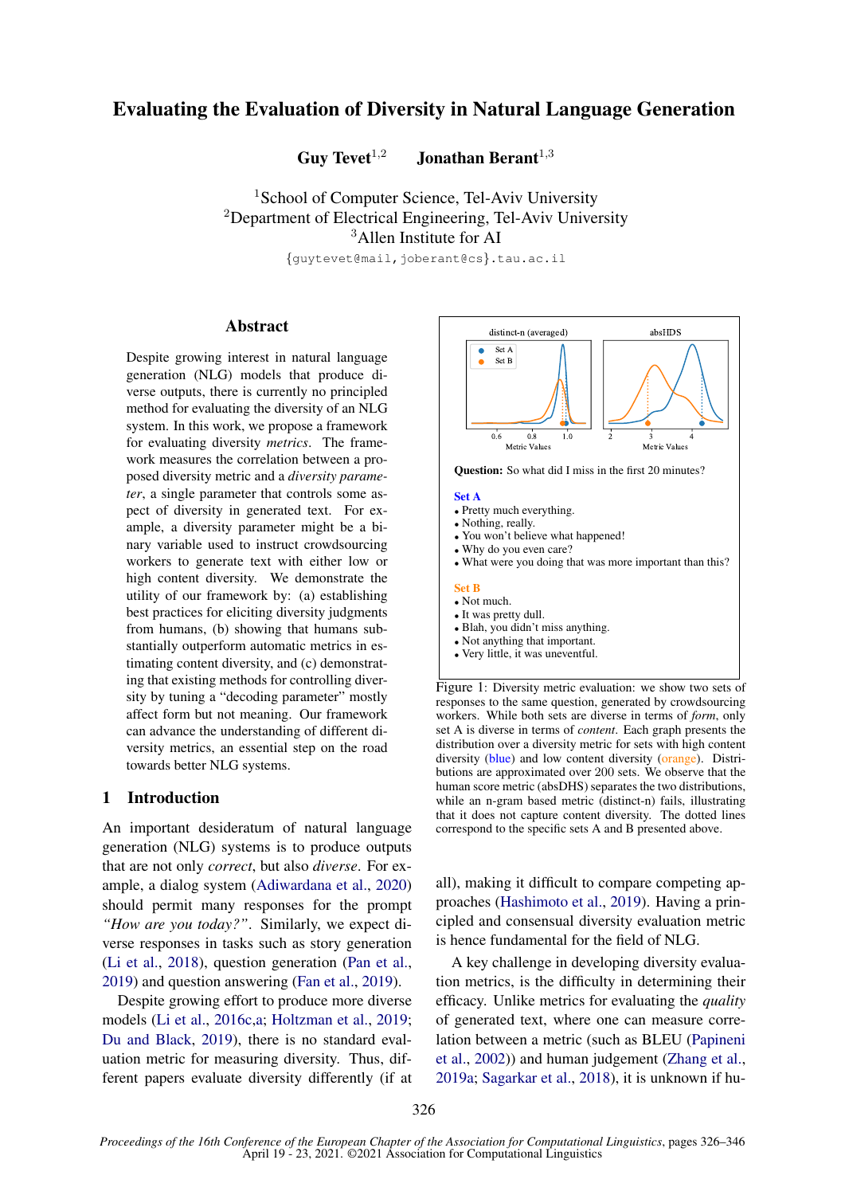# Evaluating the Evaluation of Diversity in Natural Language Generation

Guy Tevet<sup> $1,2$ </sup> Jonathan Berant<sup> $1,3$ </sup>

<sup>1</sup>School of Computer Science, Tel-Aviv University <sup>2</sup>Department of Electrical Engineering, Tel-Aviv University <sup>3</sup>Allen Institute for AI

{guytevet@mail,joberant@cs}.tau.ac.il

## Abstract

Despite growing interest in natural language generation (NLG) models that produce diverse outputs, there is currently no principled method for evaluating the diversity of an NLG system. In this work, we propose a framework for evaluating diversity *metrics*. The framework measures the correlation between a proposed diversity metric and a *diversity parameter*, a single parameter that controls some aspect of diversity in generated text. For example, a diversity parameter might be a binary variable used to instruct crowdsourcing workers to generate text with either low or high content diversity. We demonstrate the utility of our framework by: (a) establishing best practices for eliciting diversity judgments from humans, (b) showing that humans substantially outperform automatic metrics in estimating content diversity, and (c) demonstrating that existing methods for controlling diversity by tuning a "decoding parameter" mostly affect form but not meaning. Our framework can advance the understanding of different diversity metrics, an essential step on the road towards better NLG systems.

## 1 Introduction

An important desideratum of natural language generation (NLG) systems is to produce outputs that are not only *correct*, but also *diverse*. For example, a dialog system [\(Adiwardana et al.,](#page-8-0) [2020\)](#page-8-0) should permit many responses for the prompt *"How are you today?"*. Similarly, we expect diverse responses in tasks such as story generation [\(Li et al.,](#page-9-0) [2018\)](#page-9-0), question generation [\(Pan et al.,](#page-9-1) [2019\)](#page-9-1) and question answering [\(Fan et al.,](#page-9-2) [2019\)](#page-9-2).

Despite growing effort to produce more diverse models [\(Li et al.,](#page-9-3) [2016c](#page-9-3)[,a;](#page-9-4) [Holtzman et al.,](#page-9-5) [2019;](#page-9-5) [Du and Black,](#page-9-6) [2019\)](#page-9-6), there is no standard evaluation metric for measuring diversity. Thus, different papers evaluate diversity differently (if at

<span id="page-0-0"></span>

responses to the same question, generated by crowdsourcing workers. While both sets are diverse in terms of *form*, only set A is diverse in terms of *content*. Each graph presents the distribution over a diversity metric for sets with high content diversity (blue) and low content diversity (orange). Distributions are approximated over 200 sets. We observe that the human score metric (absDHS) separates the two distributions, while an n-gram based metric (distinct-n) fails, illustrating that it does not capture content diversity. The dotted lines correspond to the specific sets A and B presented above.

all), making it difficult to compare competing approaches [\(Hashimoto et al.,](#page-9-7) [2019\)](#page-9-7). Having a principled and consensual diversity evaluation metric is hence fundamental for the field of NLG.

A key challenge in developing diversity evaluation metrics, is the difficulty in determining their efficacy. Unlike metrics for evaluating the *quality* of generated text, where one can measure correlation between a metric (such as BLEU [\(Papineni](#page-9-8) [et al.,](#page-9-8) [2002\)](#page-9-8)) and human judgement [\(Zhang et al.,](#page-10-0) [2019a;](#page-10-0) [Sagarkar et al.,](#page-10-1) [2018\)](#page-10-1), it is unknown if hu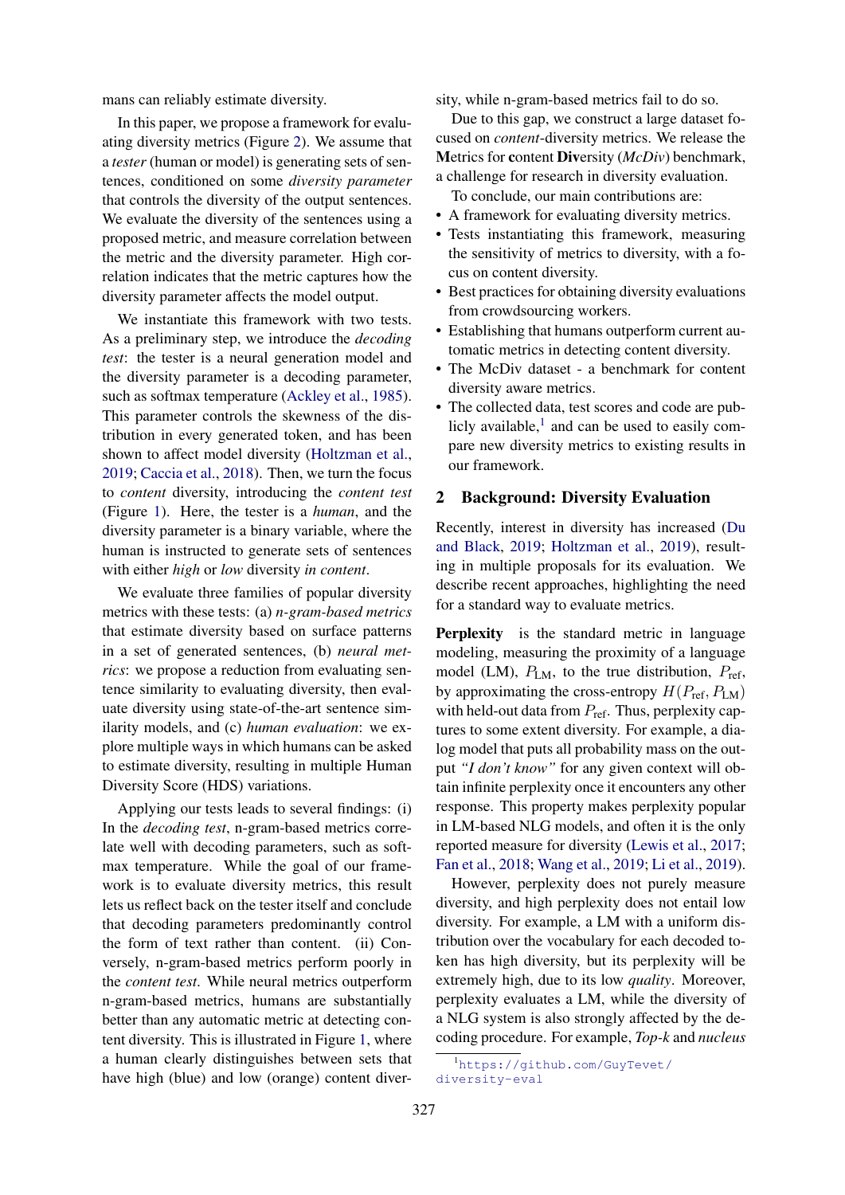mans can reliably estimate diversity.

In this paper, we propose a framework for evaluating diversity metrics (Figure [2\)](#page-2-0). We assume that a *tester* (human or model) is generating sets of sentences, conditioned on some *diversity parameter* that controls the diversity of the output sentences. We evaluate the diversity of the sentences using a proposed metric, and measure correlation between the metric and the diversity parameter. High correlation indicates that the metric captures how the diversity parameter affects the model output.

We instantiate this framework with two tests. As a preliminary step, we introduce the *decoding test*: the tester is a neural generation model and the diversity parameter is a decoding parameter, such as softmax temperature [\(Ackley et al.,](#page-8-1) [1985\)](#page-8-1). This parameter controls the skewness of the distribution in every generated token, and has been shown to affect model diversity [\(Holtzman et al.,](#page-9-5) [2019;](#page-9-5) [Caccia et al.,](#page-8-2) [2018\)](#page-8-2). Then, we turn the focus to *content* diversity, introducing the *content test* (Figure [1\)](#page-0-0). Here, the tester is a *human*, and the diversity parameter is a binary variable, where the human is instructed to generate sets of sentences with either *high* or *low* diversity *in content*.

We evaluate three families of popular diversity metrics with these tests: (a) *n-gram-based metrics* that estimate diversity based on surface patterns in a set of generated sentences, (b) *neural metrics*: we propose a reduction from evaluating sentence similarity to evaluating diversity, then evaluate diversity using state-of-the-art sentence similarity models, and (c) *human evaluation*: we explore multiple ways in which humans can be asked to estimate diversity, resulting in multiple Human Diversity Score (HDS) variations.

Applying our tests leads to several findings: (i) In the *decoding test*, n-gram-based metrics correlate well with decoding parameters, such as softmax temperature. While the goal of our framework is to evaluate diversity metrics, this result lets us reflect back on the tester itself and conclude that decoding parameters predominantly control the form of text rather than content. (ii) Conversely, n-gram-based metrics perform poorly in the *content test*. While neural metrics outperform n-gram-based metrics, humans are substantially better than any automatic metric at detecting content diversity. This is illustrated in Figure [1,](#page-0-0) where a human clearly distinguishes between sets that have high (blue) and low (orange) content diversity, while n-gram-based metrics fail to do so.

Due to this gap, we construct a large dataset focused on *content*-diversity metrics. We release the Metrics for content Diversity (*McDiv*) benchmark, a challenge for research in diversity evaluation.

To conclude, our main contributions are:

- A framework for evaluating diversity metrics.
- Tests instantiating this framework, measuring the sensitivity of metrics to diversity, with a focus on content diversity.
- Best practices for obtaining diversity evaluations from crowdsourcing workers.
- Establishing that humans outperform current automatic metrics in detecting content diversity.
- The McDiv dataset a benchmark for content diversity aware metrics.
- The collected data, test scores and code are publicly available, $<sup>1</sup>$  $<sup>1</sup>$  $<sup>1</sup>$  and can be used to easily com-</sup> pare new diversity metrics to existing results in our framework.

#### <span id="page-1-1"></span>2 Background: Diversity Evaluation

Recently, interest in diversity has increased [\(Du](#page-9-6) [and Black,](#page-9-6) [2019;](#page-9-6) [Holtzman et al.,](#page-9-5) [2019\)](#page-9-5), resulting in multiple proposals for its evaluation. We describe recent approaches, highlighting the need for a standard way to evaluate metrics.

Perplexity is the standard metric in language modeling, measuring the proximity of a language model (LM),  $P_{LM}$ , to the true distribution,  $P_{ref}$ , by approximating the cross-entropy  $H(P_{\text{ref}}, P_{\text{LM}})$ with held-out data from  $P_{\text{ref}}$ . Thus, perplexity captures to some extent diversity. For example, a dialog model that puts all probability mass on the output *"I don't know"* for any given context will obtain infinite perplexity once it encounters any other response. This property makes perplexity popular in LM-based NLG models, and often it is the only reported measure for diversity [\(Lewis et al.,](#page-9-9) [2017;](#page-9-9) [Fan et al.,](#page-9-10) [2018;](#page-9-10) [Wang et al.,](#page-10-2) [2019;](#page-10-2) [Li et al.,](#page-9-11) [2019\)](#page-9-11).

However, perplexity does not purely measure diversity, and high perplexity does not entail low diversity. For example, a LM with a uniform distribution over the vocabulary for each decoded token has high diversity, but its perplexity will be extremely high, due to its low *quality*. Moreover, perplexity evaluates a LM, while the diversity of a NLG system is also strongly affected by the decoding procedure. For example, *Top-k* and *nucleus*

<span id="page-1-0"></span><sup>1</sup>[https://github.com/GuyTevet/](https://github.com/GuyTevet/diversity-eval) [diversity-eval](https://github.com/GuyTevet/diversity-eval)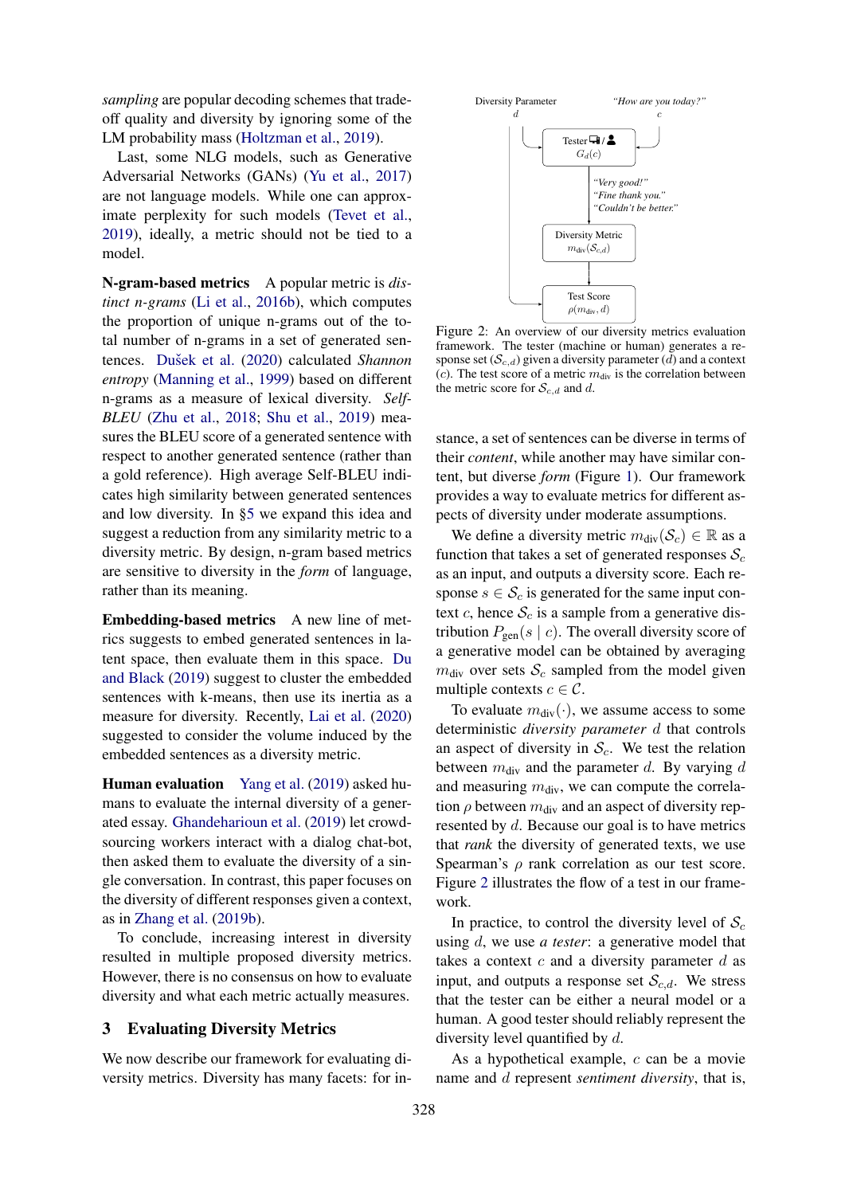*sampling* are popular decoding schemes that tradeoff quality and diversity by ignoring some of the LM probability mass [\(Holtzman et al.,](#page-9-5) [2019\)](#page-9-5).

Last, some NLG models, such as Generative Adversarial Networks (GANs) [\(Yu et al.,](#page-10-3) [2017\)](#page-10-3) are not language models. While one can approximate perplexity for such models [\(Tevet et al.,](#page-10-4) [2019\)](#page-10-4), ideally, a metric should not be tied to a model.

N-gram-based metrics A popular metric is *distinct n-grams* [\(Li et al.,](#page-9-12) [2016b\)](#page-9-12), which computes the proportion of unique n-grams out of the total number of n-grams in a set of generated sen-tences. Dušek et al. [\(2020\)](#page-9-13) calculated *Shannon entropy* [\(Manning et al.,](#page-9-14) [1999\)](#page-9-14) based on different n-grams as a measure of lexical diversity. *Self-BLEU* [\(Zhu et al.,](#page-10-5) [2018;](#page-10-5) [Shu et al.,](#page-10-6) [2019\)](#page-10-6) measures the BLEU score of a generated sentence with respect to another generated sentence (rather than a gold reference). High average Self-BLEU indicates high similarity between generated sentences and low diversity. In [§5](#page-4-0) we expand this idea and suggest a reduction from any similarity metric to a diversity metric. By design, n-gram based metrics are sensitive to diversity in the *form* of language, rather than its meaning.

Embedding-based metrics A new line of metrics suggests to embed generated sentences in latent space, then evaluate them in this space. [Du](#page-9-6) [and Black](#page-9-6) [\(2019\)](#page-9-6) suggest to cluster the embedded sentences with k-means, then use its inertia as a measure for diversity. Recently, [Lai et al.](#page-9-15) [\(2020\)](#page-9-15) suggested to consider the volume induced by the embedded sentences as a diversity metric.

Human evaluation [Yang et al.](#page-10-7) [\(2019\)](#page-10-7) asked humans to evaluate the internal diversity of a generated essay. [Ghandeharioun et al.](#page-9-16) [\(2019\)](#page-9-16) let crowdsourcing workers interact with a dialog chat-bot, then asked them to evaluate the diversity of a single conversation. In contrast, this paper focuses on the diversity of different responses given a context, as in [Zhang et al.](#page-10-8) [\(2019b\)](#page-10-8).

To conclude, increasing interest in diversity resulted in multiple proposed diversity metrics. However, there is no consensus on how to evaluate diversity and what each metric actually measures.

## <span id="page-2-1"></span>3 Evaluating Diversity Metrics

We now describe our framework for evaluating diversity metrics. Diversity has many facets: for in-

<span id="page-2-0"></span>

Figure 2: An overview of our diversity metrics evaluation framework. The tester (machine or human) generates a response set  $(S_{c,d})$  given a diversity parameter (d) and a context (c). The test score of a metric  $m_{div}$  is the correlation between the metric score for  $S_{c,d}$  and d.

stance, a set of sentences can be diverse in terms of their *content*, while another may have similar content, but diverse *form* (Figure [1\)](#page-0-0). Our framework provides a way to evaluate metrics for different aspects of diversity under moderate assumptions.

We define a diversity metric  $m_{div}(\mathcal{S}_c) \in \mathbb{R}$  as a function that takes a set of generated responses  $S_c$ as an input, and outputs a diversity score. Each response  $s \in \mathcal{S}_c$  is generated for the same input context c, hence  $S_c$  is a sample from a generative distribution  $P_{gen}(s \mid c)$ . The overall diversity score of a generative model can be obtained by averaging  $m_{\text{div}}$  over sets  $\mathcal{S}_c$  sampled from the model given multiple contexts  $c \in \mathcal{C}$ .

To evaluate  $m_{div}(\cdot)$ , we assume access to some deterministic *diversity parameter* d that controls an aspect of diversity in  $S_c$ . We test the relation between  $m_{div}$  and the parameter d. By varying d and measuring  $m_{\text{div}}$ , we can compute the correlation  $\rho$  between  $m_{\text{div}}$  and an aspect of diversity represented by d. Because our goal is to have metrics that *rank* the diversity of generated texts, we use Spearman's *ρ* rank correlation as our test score. Figure [2](#page-2-0) illustrates the flow of a test in our framework.

In practice, to control the diversity level of  $S_c$ using d, we use *a tester*: a generative model that takes a context  $c$  and a diversity parameter  $d$  as input, and outputs a response set  $\mathcal{S}_{c,d}$ . We stress that the tester can be either a neural model or a human. A good tester should reliably represent the diversity level quantified by d.

As a hypothetical example, c can be a movie name and d represent *sentiment diversity*, that is,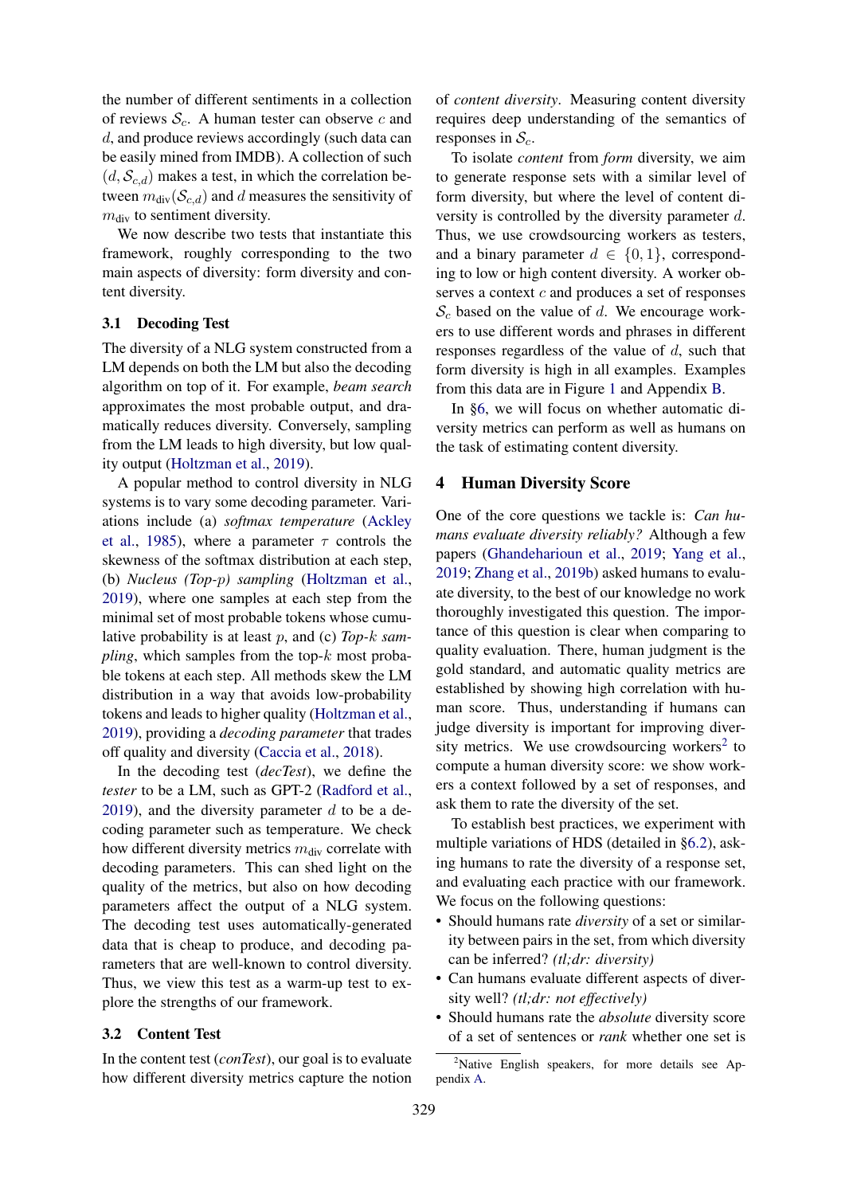the number of different sentiments in a collection of reviews  $S_c$ . A human tester can observe c and d, and produce reviews accordingly (such data can be easily mined from IMDB). A collection of such  $(d, S_{c,d})$  makes a test, in which the correlation between  $m_{div}(\mathcal{S}_{c,d})$  and d measures the sensitivity of  $m<sub>div</sub>$  to sentiment diversity.

We now describe two tests that instantiate this framework, roughly corresponding to the two main aspects of diversity: form diversity and content diversity.

#### 3.1 Decoding Test

The diversity of a NLG system constructed from a LM depends on both the LM but also the decoding algorithm on top of it. For example, *beam search* approximates the most probable output, and dramatically reduces diversity. Conversely, sampling from the LM leads to high diversity, but low quality output [\(Holtzman et al.,](#page-9-5) [2019\)](#page-9-5).

A popular method to control diversity in NLG systems is to vary some decoding parameter. Variations include (a) *softmax temperature* [\(Ackley](#page-8-1) [et al.,](#page-8-1) [1985\)](#page-8-1), where a parameter  $\tau$  controls the skewness of the softmax distribution at each step, (b) *Nucleus (Top-*p*) sampling* [\(Holtzman et al.,](#page-9-5) [2019\)](#page-9-5), where one samples at each step from the minimal set of most probable tokens whose cumulative probability is at least p, and (c) *Top-*k *sampling*, which samples from the top- $k$  most probable tokens at each step. All methods skew the LM distribution in a way that avoids low-probability tokens and leads to higher quality [\(Holtzman et al.,](#page-9-5) [2019\)](#page-9-5), providing a *decoding parameter* that trades off quality and diversity [\(Caccia et al.,](#page-8-2) [2018\)](#page-8-2).

In the decoding test (*decTest*), we define the *tester* to be a LM, such as GPT-2 [\(Radford et al.,](#page-9-17) [2019\)](#page-9-17), and the diversity parameter  $d$  to be a decoding parameter such as temperature. We check how different diversity metrics  $m_{\text{div}}$  correlate with decoding parameters. This can shed light on the quality of the metrics, but also on how decoding parameters affect the output of a NLG system. The decoding test uses automatically-generated data that is cheap to produce, and decoding parameters that are well-known to control diversity. Thus, we view this test as a warm-up test to explore the strengths of our framework.

#### 3.2 Content Test

In the content test (*conTest*), our goal is to evaluate how different diversity metrics capture the notion

of *content diversity*. Measuring content diversity requires deep understanding of the semantics of responses in  $S_c$ .

To isolate *content* from *form* diversity, we aim to generate response sets with a similar level of form diversity, but where the level of content diversity is controlled by the diversity parameter d. Thus, we use crowdsourcing workers as testers, and a binary parameter  $d \in \{0, 1\}$ , corresponding to low or high content diversity. A worker observes a context  $c$  and produces a set of responses  $S_c$  based on the value of d. We encourage workers to use different words and phrases in different responses regardless of the value of d, such that form diversity is high in all examples. Examples from this data are in Figure [1](#page-0-0) and Appendix [B.](#page-11-0)

In [§6,](#page-4-1) we will focus on whether automatic diversity metrics can perform as well as humans on the task of estimating content diversity.

#### <span id="page-3-1"></span>4 Human Diversity Score

One of the core questions we tackle is: *Can humans evaluate diversity reliably?* Although a few papers [\(Ghandeharioun et al.,](#page-9-16) [2019;](#page-9-16) [Yang et al.,](#page-10-7) [2019;](#page-10-7) [Zhang et al.,](#page-10-8) [2019b\)](#page-10-8) asked humans to evaluate diversity, to the best of our knowledge no work thoroughly investigated this question. The importance of this question is clear when comparing to quality evaluation. There, human judgment is the gold standard, and automatic quality metrics are established by showing high correlation with human score. Thus, understanding if humans can judge diversity is important for improving diver-sity metrics. We use crowdsourcing workers<sup>[2](#page-3-0)</sup> to compute a human diversity score: we show workers a context followed by a set of responses, and ask them to rate the diversity of the set.

To establish best practices, we experiment with multiple variations of HDS (detailed in [§6.2\)](#page-4-2), asking humans to rate the diversity of a response set, and evaluating each practice with our framework. We focus on the following questions:

- Should humans rate *diversity* of a set or similarity between pairs in the set, from which diversity can be inferred? *(tl;dr: diversity)*
- Can humans evaluate different aspects of diversity well? *(tl;dr: not effectively)*
- Should humans rate the *absolute* diversity score of a set of sentences or *rank* whether one set is

<span id="page-3-0"></span><sup>&</sup>lt;sup>2</sup>Native English speakers, for more details see Appendix [A.](#page-11-1)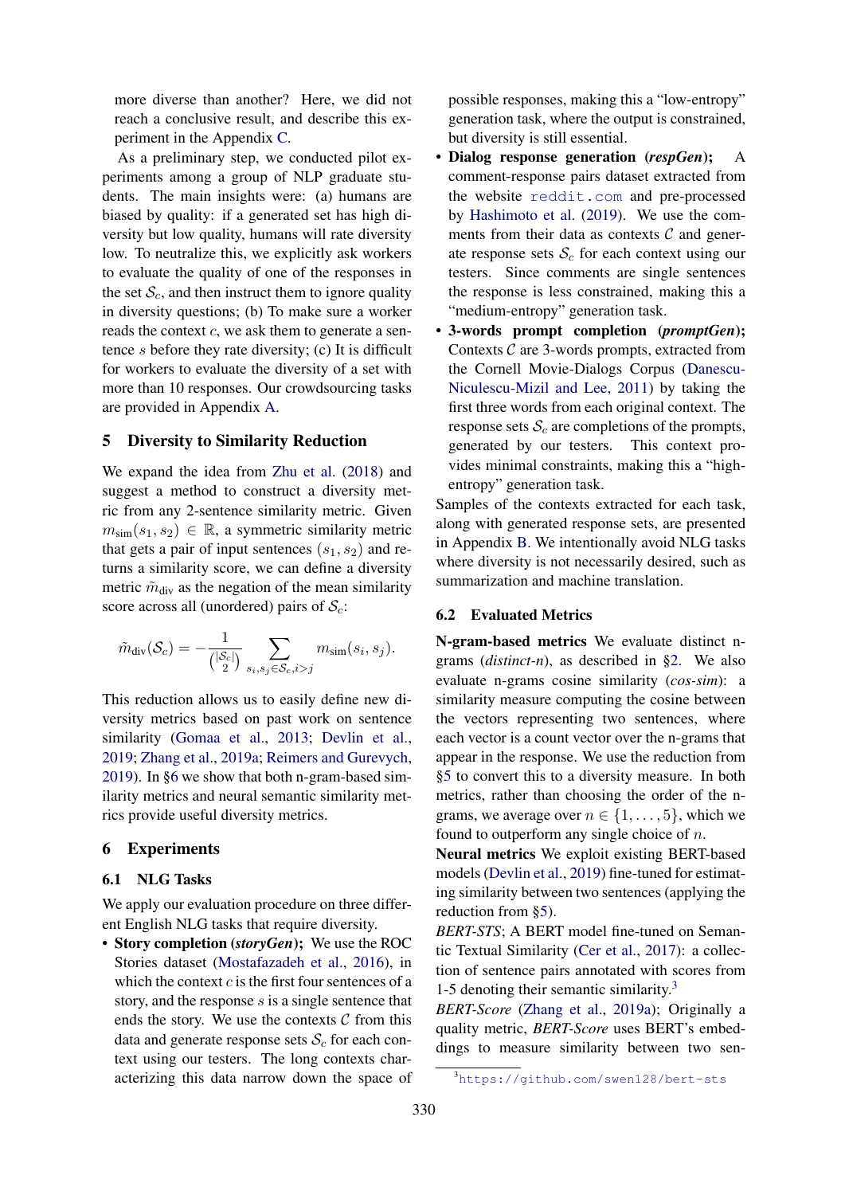more diverse than another? Here, we did not reach a conclusive result, and describe this experiment in the Appendix [C.](#page-11-2)

As a preliminary step, we conducted pilot experiments among a group of NLP graduate students. The main insights were: (a) humans are biased by quality: if a generated set has high diversity but low quality, humans will rate diversity low. To neutralize this, we explicitly ask workers to evaluate the quality of one of the responses in the set  $S_c$ , and then instruct them to ignore quality in diversity questions; (b) To make sure a worker reads the context  $c$ , we ask them to generate a sentence s before they rate diversity; (c) It is difficult for workers to evaluate the diversity of a set with more than 10 responses. Our crowdsourcing tasks are provided in Appendix [A.](#page-11-1)

#### <span id="page-4-0"></span>5 Diversity to Similarity Reduction

We expand the idea from [Zhu et al.](#page-10-5) [\(2018\)](#page-10-5) and suggest a method to construct a diversity metric from any 2-sentence similarity metric. Given  $m_{\text{sim}}(s_1, s_2) \in \mathbb{R}$ , a symmetric similarity metric that gets a pair of input sentences  $(s_1, s_2)$  and returns a similarity score, we can define a diversity metric  $\tilde{m}_{div}$  as the negation of the mean similarity score across all (unordered) pairs of  $S_c$ :

$$
\tilde{m}_{\text{div}}(\mathcal{S}_c) = -\frac{1}{\binom{|\mathcal{S}_c|}{2}} \sum_{s_i, s_j \in \mathcal{S}_c, i > j} m_{\text{sim}}(s_i, s_j).
$$

This reduction allows us to easily define new diversity metrics based on past work on sentence similarity [\(Gomaa et al.,](#page-9-18) [2013;](#page-9-18) [Devlin et al.,](#page-8-3) [2019;](#page-8-3) [Zhang et al.,](#page-10-0) [2019a;](#page-10-0) [Reimers and Gurevych,](#page-10-9) [2019\)](#page-10-9). In [§6](#page-4-1) we show that both n-gram-based similarity metrics and neural semantic similarity metrics provide useful diversity metrics.

## <span id="page-4-1"></span>6 Experiments

#### 6.1 NLG Tasks

We apply our evaluation procedure on three different English NLG tasks that require diversity.

• Story completion (*storyGen*); We use the ROC Stories dataset [\(Mostafazadeh et al.,](#page-9-19) [2016\)](#page-9-19), in which the context  $c$  is the first four sentences of a story, and the response  $s$  is a single sentence that ends the story. We use the contexts  $C$  from this data and generate response sets  $S_c$  for each context using our testers. The long contexts characterizing this data narrow down the space of possible responses, making this a "low-entropy" generation task, where the output is constrained, but diversity is still essential.

- Dialog response generation (*respGen*); A comment-response pairs dataset extracted from the website <reddit.com> and pre-processed by [Hashimoto et al.](#page-9-7) [\(2019\)](#page-9-7). We use the comments from their data as contexts  $C$  and generate response sets  $S_c$  for each context using our testers. Since comments are single sentences the response is less constrained, making this a "medium-entropy" generation task.
- 3-words prompt completion (*promptGen*); Contexts  $C$  are 3-words prompts, extracted from the Cornell Movie-Dialogs Corpus [\(Danescu-](#page-8-4)[Niculescu-Mizil and Lee,](#page-8-4) [2011\)](#page-8-4) by taking the first three words from each original context. The response sets  $S_c$  are completions of the prompts, generated by our testers. This context provides minimal constraints, making this a "highentropy" generation task.

Samples of the contexts extracted for each task, along with generated response sets, are presented in Appendix [B.](#page-11-0) We intentionally avoid NLG tasks where diversity is not necessarily desired, such as summarization and machine translation.

#### <span id="page-4-2"></span>6.2 Evaluated Metrics

N-gram-based metrics We evaluate distinct ngrams (*distinct-n*), as described in [§2.](#page-1-1) We also evaluate n-grams cosine similarity (*cos-sim*): a similarity measure computing the cosine between the vectors representing two sentences, where each vector is a count vector over the n-grams that appear in the response. We use the reduction from [§5](#page-4-0) to convert this to a diversity measure. In both metrics, rather than choosing the order of the ngrams, we average over  $n \in \{1, \ldots, 5\}$ , which we found to outperform any single choice of  $n$ .

Neural metrics We exploit existing BERT-based models [\(Devlin et al.,](#page-8-3) [2019\)](#page-8-3) fine-tuned for estimating similarity between two sentences (applying the reduction from [§5\)](#page-4-0).

*BERT-STS*; A BERT model fine-tuned on Semantic Textual Similarity [\(Cer et al.,](#page-8-5) [2017\)](#page-8-5): a collection of sentence pairs annotated with scores from 1-5 denoting their semantic similarity.[3](#page-4-3)

*BERT-Score* [\(Zhang et al.,](#page-10-0) [2019a\)](#page-10-0); Originally a quality metric, *BERT-Score* uses BERT's embeddings to measure similarity between two sen-

<span id="page-4-3"></span><sup>3</sup><https://github.com/swen128/bert-sts>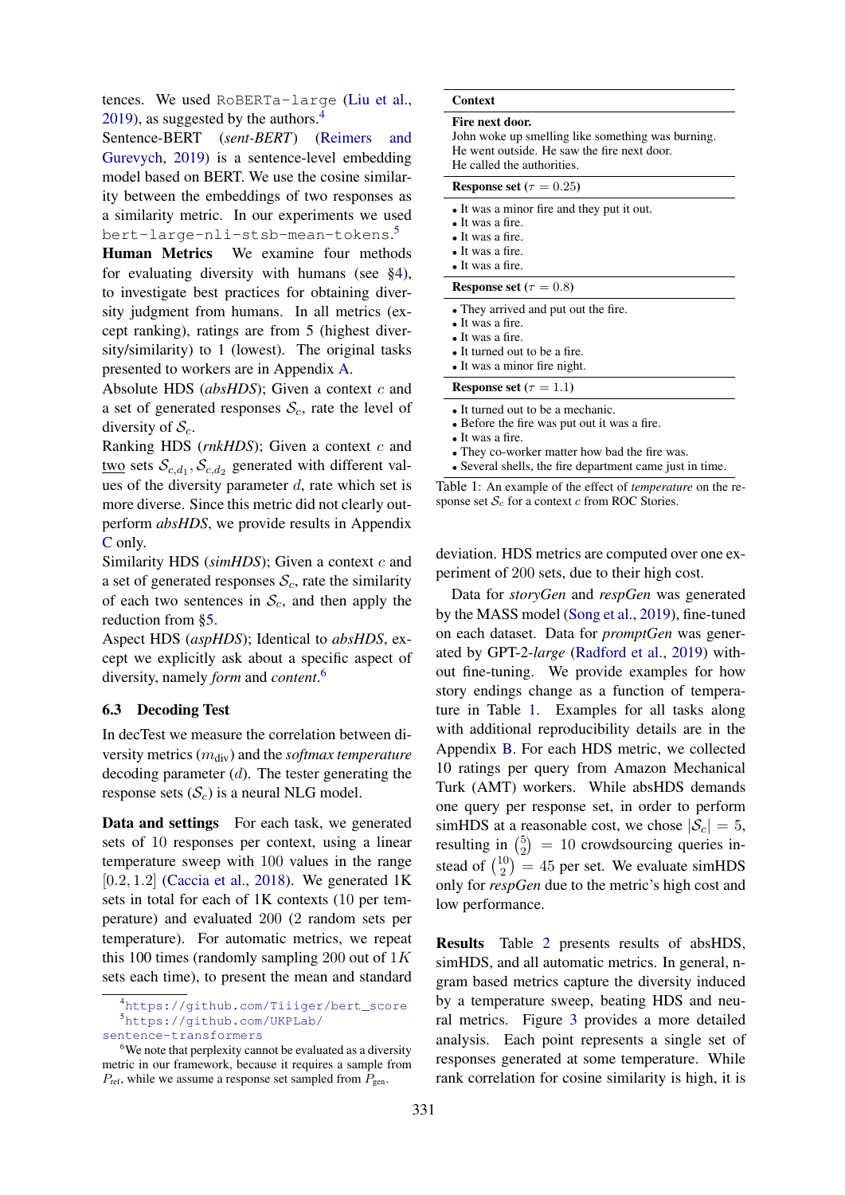tences. We used RoBERTa-large [\(Liu et al.,](#page-9-20) [2019\)](#page-9-20), as suggested by the authors.<sup>[4](#page-5-0)</sup>

Sentence-BERT (*sent-BERT*) [\(Reimers and](#page-10-9) [Gurevych,](#page-10-9) [2019\)](#page-10-9) is a sentence-level embedding model based on BERT. We use the cosine similarity between the embeddings of two responses as a similarity metric. In our experiments we used bert-large-nli-stsb-mean-tokens. [5](#page-5-1)

Human Metrics We examine four methods for evaluating diversity with humans (see [§4\)](#page-3-1), to investigate best practices for obtaining diversity judgment from humans. In all metrics (except ranking), ratings are from 5 (highest diversity/similarity) to 1 (lowest). The original tasks presented to workers are in Appendix [A.](#page-11-1)

Absolute HDS (*absHDS*); Given a context c and a set of generated responses  $S_c$ , rate the level of diversity of  $S_c$ .

Ranking HDS (*rnkHDS*); Given a context c and two sets  $\mathcal{S}_{c,d_1}, \mathcal{S}_{c,d_2}$  generated with different values of the diversity parameter  $d$ , rate which set is more diverse. Since this metric did not clearly outperform *absHDS*, we provide results in Appendix [C](#page-11-2) only.

Similarity HDS (*simHDS*); Given a context c and a set of generated responses  $S_c$ , rate the similarity of each two sentences in  $S_c$ , and then apply the reduction from [§5.](#page-4-0)

Aspect HDS (*aspHDS*); Identical to *absHDS*, except we explicitly ask about a specific aspect of diversity, namely *form* and *content*. [6](#page-5-2)

## 6.3 Decoding Test

In decTest we measure the correlation between diversity metrics (mdiv) and the *softmax temperature* decoding parameter  $(d)$ . The tester generating the response sets  $(S_c)$  is a neural NLG model.

Data and settings For each task, we generated sets of 10 responses per context, using a linear temperature sweep with 100 values in the range  $[0.2, 1.2]$  [\(Caccia et al.,](#page-8-2) [2018\)](#page-8-2). We generated 1K sets in total for each of 1K contexts (10 per temperature) and evaluated 200 (2 random sets per temperature). For automatic metrics, we repeat this 100 times (randomly sampling 200 out of  $1K$ sets each time), to present the mean and standard

[sentence-transformers](https://github.com/UKPLab/sentence-transformers)

<span id="page-5-3"></span>

| Fire next door.                                   |
|---------------------------------------------------|
| John woke up smelling like something was burning. |
| He went outside. He saw the fire next door.       |

aw the fire next door. He called the authorities.

| <b>Response set</b> ( $\tau = 0.25$ )                                                                                                                         |
|---------------------------------------------------------------------------------------------------------------------------------------------------------------|
| • It was a minor fire and they put it out.<br>$\bullet$ It was a fire.<br>$\bullet$ It was a fire.<br>$\bullet$ It was a fire.<br>• It was a fire.            |
| <b>Response set</b> ( $\tau = 0.8$ )                                                                                                                          |
| • They arrived and put out the fire.<br>$\bullet$ It was a fire.<br>$\bullet$ It was a fire.<br>• It turned out to be a fire.<br>• It was a minor fire night. |
| Response set ( $\tau = 1.1$ )                                                                                                                                 |
| • It turned out to be a mechanic.<br>• Before the fire was put out it was a fire.                                                                             |

• It was a fire.

• They co-worker matter how bad the fire was.

• Several shells, the fire department came just in time.

Table 1: An example of the effect of *temperature* on the response set  $S_c$  for a context c from ROC Stories.

deviation. HDS metrics are computed over one experiment of 200 sets, due to their high cost.

Data for *storyGen* and *respGen* was generated by the MASS model [\(Song et al.,](#page-10-10) [2019\)](#page-10-10), fine-tuned on each dataset. Data for *promptGen* was generated by GPT-2-*large* [\(Radford et al.,](#page-9-17) [2019\)](#page-9-17) without fine-tuning. We provide examples for how story endings change as a function of temperature in Table [1.](#page-5-3) Examples for all tasks along with additional reproducibility details are in the Appendix [B.](#page-11-0) For each HDS metric, we collected 10 ratings per query from Amazon Mechanical Turk (AMT) workers. While absHDS demands one query per response set, in order to perform simHDS at a reasonable cost, we chose  $|S_c| = 5$ , resulting in  $\binom{5}{2}$  $2<sup>5</sup>$  = 10 crowdsourcing queries instead of  $\binom{10}{2}$  $\binom{10}{2}$  = 45 per set. We evaluate simHDS only for *respGen* due to the metric's high cost and low performance.

Results Table [2](#page-6-0) presents results of absHDS, simHDS, and all automatic metrics. In general, ngram based metrics capture the diversity induced by a temperature sweep, beating HDS and neural metrics. Figure [3](#page-6-1) provides a more detailed analysis. Each point represents a single set of responses generated at some temperature. While rank correlation for cosine similarity is high, it is

<span id="page-5-1"></span><span id="page-5-0"></span><sup>4</sup>[https://github.com/Tiiiger/bert\\_score](https://github.com/Tiiiger/bert_score) <sup>5</sup>[https://github.com/UKPLab/](https://github.com/UKPLab/sentence-transformers)

<span id="page-5-2"></span><sup>&</sup>lt;sup>6</sup>We note that perplexity cannot be evaluated as a diversity metric in our framework, because it requires a sample from  $P_{\text{ref}}$ , while we assume a response set sampled from  $P_{\text{gen}}$ .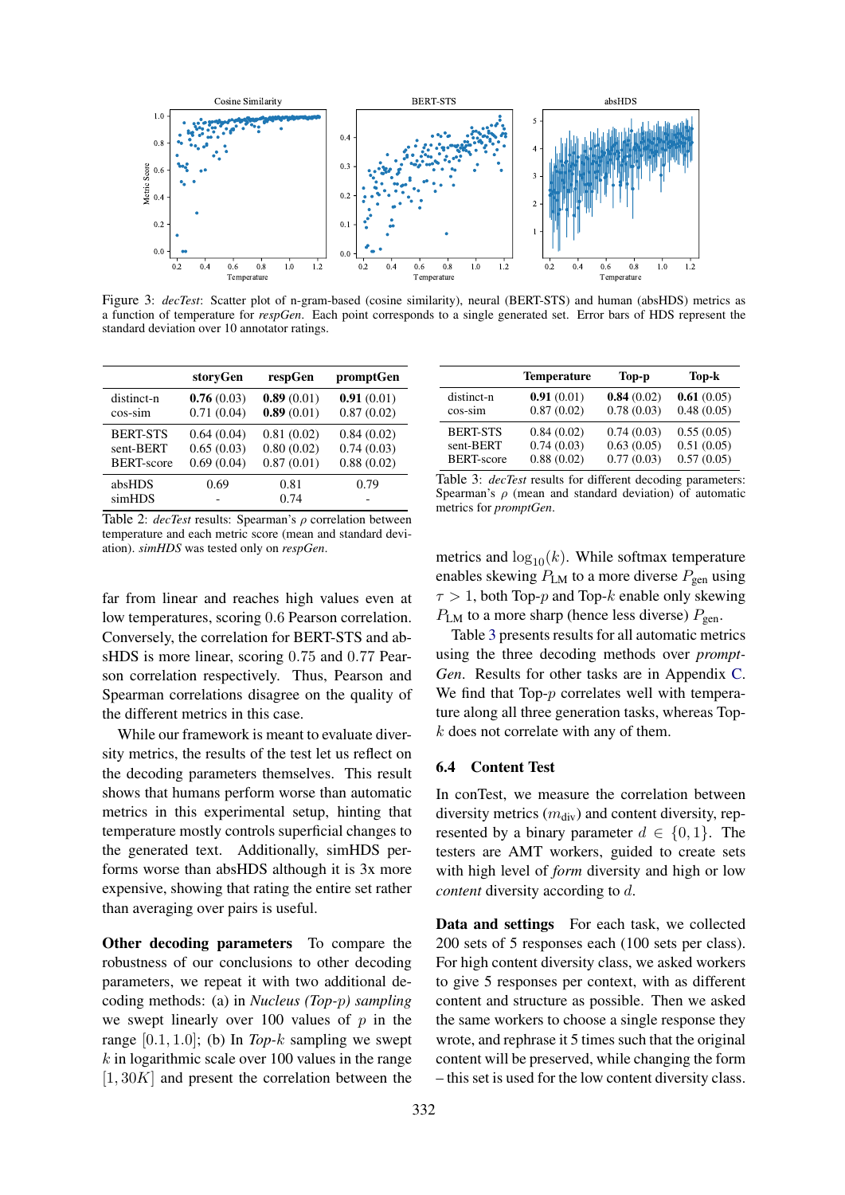<span id="page-6-1"></span>

Figure 3: *decTest*: Scatter plot of n-gram-based (cosine similarity), neural (BERT-STS) and human (absHDS) metrics as a function of temperature for *respGen*. Each point corresponds to a single generated set. Error bars of HDS represent the standard deviation over 10 annotator ratings.

<span id="page-6-0"></span>

|                   | storyGen   | respGen      | promptGen  |
|-------------------|------------|--------------|------------|
| distinct-n        | 0.76(0.03) | 0.89(0.01)   | 0.91(0.01) |
| $cos-sim$         | 0.71(0.04) | 0.89(0.01)   | 0.87(0.02) |
| <b>BERT-STS</b>   | 0.64(0.04) | 0.81(0.02)   | 0.84(0.02) |
| sent-BERT         | 0.65(0.03) | 0.80(0.02)   | 0.74(0.03) |
| <b>BERT-score</b> | 0.69(0.04) | 0.87(0.01)   | 0.88(0.02) |
| absHDS<br>simHDS  | 0.69       | 0.81<br>0.74 | 0.79       |

<span id="page-6-2"></span>distinct-n  $\begin{array}{ccc} 0.91 & (0.01) & 0.84 & (0.02) & 0.61 & (0.05) \\ \cos-\sin & 0.87 & (0.02) & 0.78 & (0.03) & 0.48 & (0.05) \end{array}$  $\cos\text{-sim}$  0.87 (0.02) BERT-STS 0.84 (0.02) 0.74 (0.03) 0.55 (0.05)<br>sent-BERT 0.74 (0.03) 0.63 (0.05) 0.51 (0.05)  $\begin{array}{cccc} 0.74 (0.03) & 0.63 (0.05) & 0.51 (0.05) \\ 0.88 (0.02) & 0.77 (0.03) & 0.57 (0.05) \end{array}$ BERT-score Table 3: *decTest* results for different decoding parameters: Spearman's  $\rho$  (mean and standard deviation) of automatic

Temperature Top-p Top-k

Table 2: *decTest* results: Spearman's ρ correlation between temperature and each metric score (mean and standard deviation). *simHDS* was tested only on *respGen*.

far from linear and reaches high values even at low temperatures, scoring 0.6 Pearson correlation. Conversely, the correlation for BERT-STS and absHDS is more linear, scoring 0.75 and 0.77 Pearson correlation respectively. Thus, Pearson and Spearman correlations disagree on the quality of the different metrics in this case.

While our framework is meant to evaluate diversity metrics, the results of the test let us reflect on the decoding parameters themselves. This result shows that humans perform worse than automatic metrics in this experimental setup, hinting that temperature mostly controls superficial changes to the generated text. Additionally, simHDS performs worse than absHDS although it is 3x more expensive, showing that rating the entire set rather than averaging over pairs is useful.

Other decoding parameters To compare the robustness of our conclusions to other decoding parameters, we repeat it with two additional decoding methods: (a) in *Nucleus (Top-*p*) sampling* we swept linearly over 100 values of  $p$  in the range [0.1, 1.0]; (b) In *Top-*k sampling we swept  $k$  in logarithmic scale over 100 values in the range  $[1, 30K]$  and present the correlation between the

metrics and  $\log_{10}(k)$ . While softmax temperature enables skewing  $P_{LM}$  to a more diverse  $P_{gen}$  using  $\tau > 1$ , both Top-p and Top-k enable only skewing  $P_{LM}$  to a more sharp (hence less diverse)  $P_{gen}$ .

Table [3](#page-6-2) presents results for all automatic metrics using the three decoding methods over *prompt-Gen*. Results for other tasks are in Appendix [C.](#page-11-2) We find that Top-p correlates well with temperature along all three generation tasks, whereas Topk does not correlate with any of them.

#### <span id="page-6-3"></span>6.4 Content Test

metrics for *promptGen*.

In conTest, we measure the correlation between diversity metrics  $(m_{\text{div}})$  and content diversity, represented by a binary parameter  $d \in \{0, 1\}$ . The testers are AMT workers, guided to create sets with high level of *form* diversity and high or low *content* diversity according to d.

Data and settings For each task, we collected 200 sets of 5 responses each (100 sets per class). For high content diversity class, we asked workers to give 5 responses per context, with as different content and structure as possible. Then we asked the same workers to choose a single response they wrote, and rephrase it 5 times such that the original content will be preserved, while changing the form – this set is used for the low content diversity class.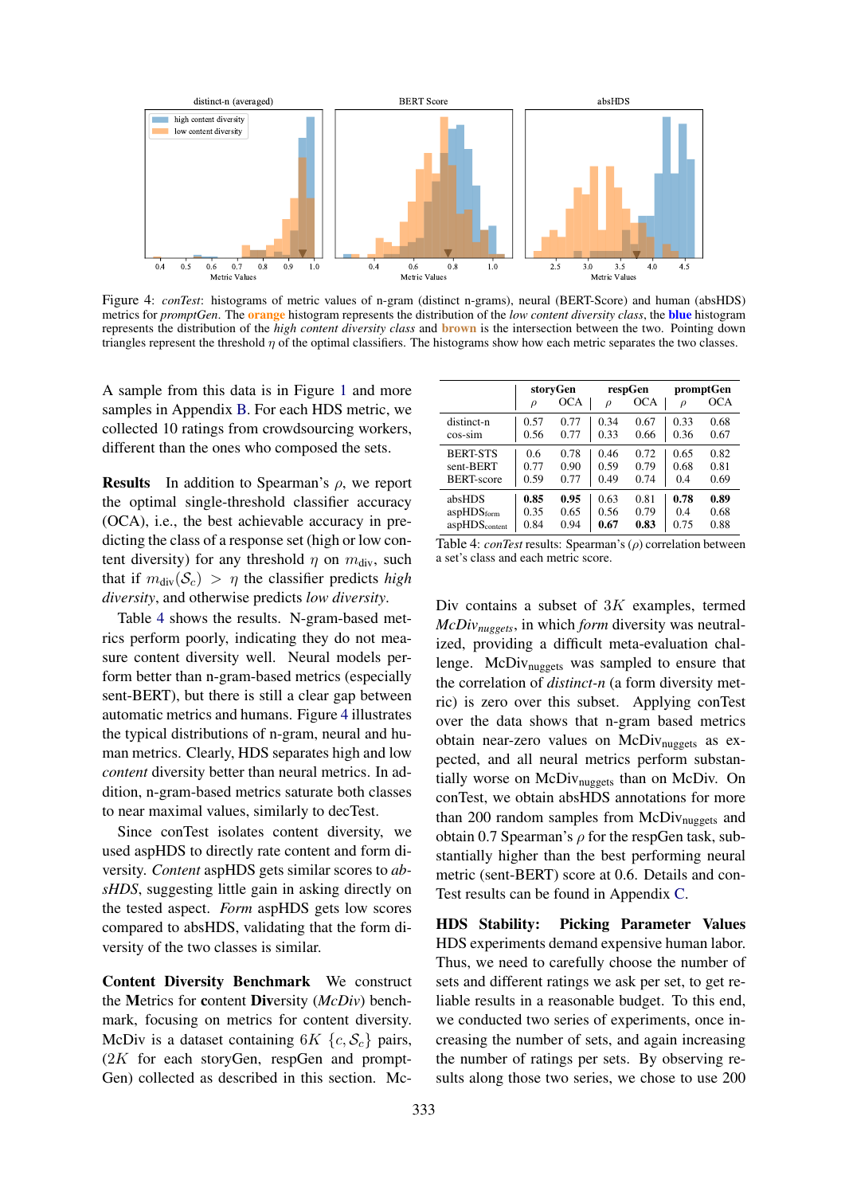<span id="page-7-1"></span>

Figure 4: *conTest*: histograms of metric values of n-gram (distinct n-grams), neural (BERT-Score) and human (absHDS) metrics for *promptGen*. The orange histogram represents the distribution of the *low content diversity class*, the blue histogram represents the distribution of the *high content diversity class* and brown is the intersection between the two. Pointing down triangles represent the threshold  $\eta$  of the optimal classifiers. The histograms show how each metric separates the two classes.

A sample from this data is in Figure [1](#page-0-0) and more samples in Appendix [B.](#page-11-0) For each HDS metric, we collected 10 ratings from crowdsourcing workers, different than the ones who composed the sets.

**Results** In addition to Spearman's  $\rho$ , we report the optimal single-threshold classifier accuracy (OCA), i.e., the best achievable accuracy in predicting the class of a response set (high or low content diversity) for any threshold  $\eta$  on  $m_{div}$ , such that if  $m_{div}(\mathcal{S}_c) > \eta$  the classifier predicts *high diversity*, and otherwise predicts *low diversity*.

Table [4](#page-7-0) shows the results. N-gram-based metrics perform poorly, indicating they do not measure content diversity well. Neural models perform better than n-gram-based metrics (especially sent-BERT), but there is still a clear gap between automatic metrics and humans. Figure [4](#page-7-1) illustrates the typical distributions of n-gram, neural and human metrics. Clearly, HDS separates high and low *content* diversity better than neural metrics. In addition, n-gram-based metrics saturate both classes to near maximal values, similarly to decTest.

Since conTest isolates content diversity, we used aspHDS to directly rate content and form diversity. *Content* aspHDS gets similar scores to *absHDS*, suggesting little gain in asking directly on the tested aspect. *Form* aspHDS gets low scores compared to absHDS, validating that the form diversity of the two classes is similar.

<span id="page-7-2"></span>Content Diversity Benchmark We construct the Metrics for content Diversity (*McDiv*) benchmark, focusing on metrics for content diversity. McDiv is a dataset containing  $6K \{c, S_c\}$  pairs,  $(2K)$  for each storyGen, respGen and prompt-Gen) collected as described in this section. Mc-

<span id="page-7-0"></span>

|                           | storyGen |            | respGen |            | promptGen |      |
|---------------------------|----------|------------|---------|------------|-----------|------|
|                           | $\rho$   | <b>OCA</b> | $\rho$  | <b>OCA</b> | $\rho$    | OCA  |
| distinct-n                | 0.57     | 0.77       | 0.34    | 0.67       | 0.33      | 0.68 |
| cos-sim                   | 0.56     | 0.77       | 0.33    | 0.66       | 0.36      | 0.67 |
| <b>BERT-STS</b>           | 0.6      | 0.78       | 0.46    | 0.72       | 0.65      | 0.82 |
| sent-BERT                 | 0.77     | 0.90       | 0.59    | 0.79       | 0.68      | 0.81 |
| <b>BERT-score</b>         | 0.59     | 0.77       | 0.49    | 0.74       | 0.4       | 0.69 |
| absHDS                    | 0.85     | 0.95       | 0.63    | 0.81       | 0.78      | 0.89 |
| aspHDS <sub>form</sub>    | 0.35     | 0.65       | 0.56    | 0.79       | 0.4       | 0.68 |
| aspHDS <sub>content</sub> | 0.84     | 0.94       | 0.67    | 0.83       | 0.75      | 0.88 |

| Table 4: <i>conTest</i> results: Spearman's $(\rho)$ correlation between |
|--------------------------------------------------------------------------|
| a set's class and each metric score.                                     |

Div contains a subset of  $3K$  examples, termed *McDivnuggets*, in which *form* diversity was neutralized, providing a difficult meta-evaluation challenge. McDiv<sub>nuggets</sub> was sampled to ensure that the correlation of *distinct-n* (a form diversity metric) is zero over this subset. Applying conTest over the data shows that n-gram based metrics obtain near-zero values on McDiv<sub>nuggets</sub> as expected, and all neural metrics perform substantially worse on McDiv<sub>nuggets</sub> than on McDiv. On conTest, we obtain absHDS annotations for more than 200 random samples from  $McDiv_{nugeets}$  and obtain 0.7 Spearman's  $\rho$  for the respGen task, substantially higher than the best performing neural metric (sent-BERT) score at 0.6. Details and con-Test results can be found in Appendix [C.](#page-11-2)

HDS Stability: Picking Parameter Values HDS experiments demand expensive human labor. Thus, we need to carefully choose the number of sets and different ratings we ask per set, to get reliable results in a reasonable budget. To this end, we conducted two series of experiments, once increasing the number of sets, and again increasing the number of ratings per sets. By observing results along those two series, we chose to use 200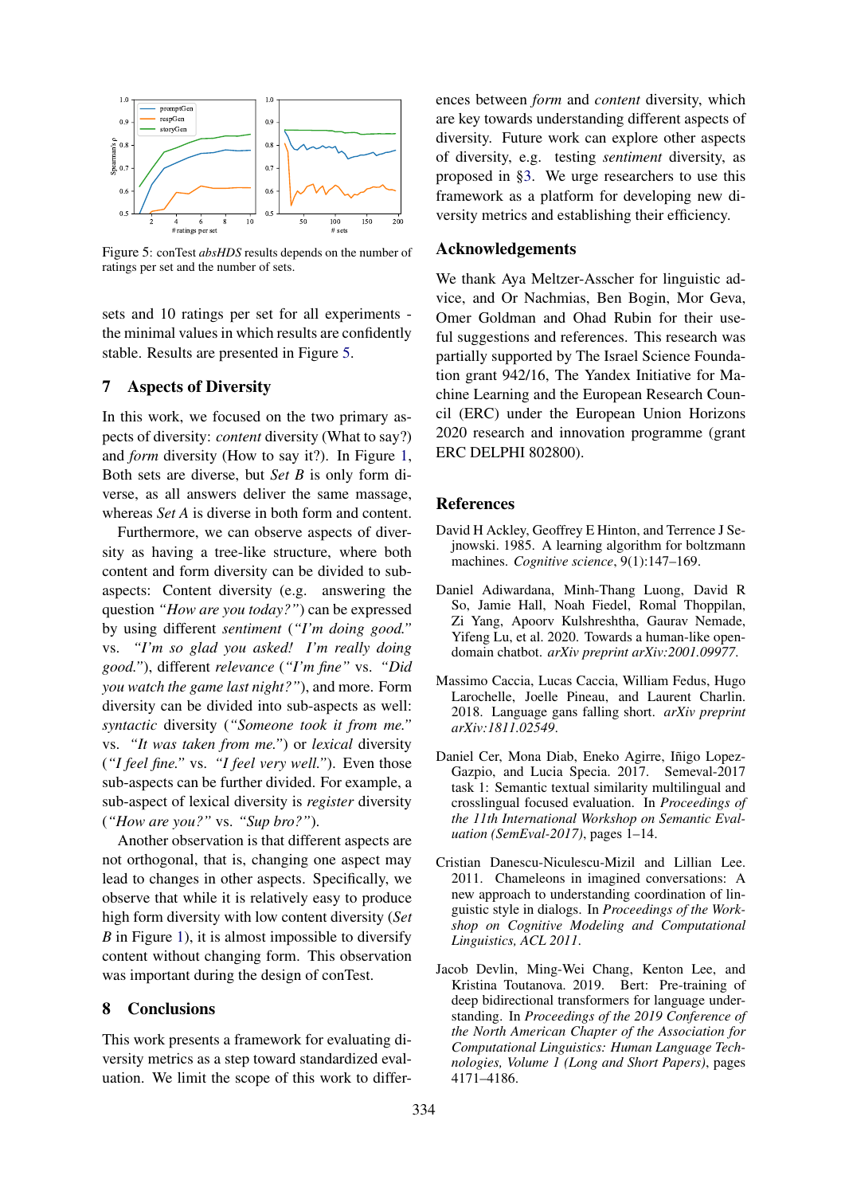<span id="page-8-6"></span>

Figure 5: conTest *absHDS* results depends on the number of ratings per set and the number of sets.

sets and 10 ratings per set for all experiments the minimal values in which results are confidently stable. Results are presented in Figure [5.](#page-8-6)

## 7 Aspects of Diversity

In this work, we focused on the two primary aspects of diversity: *content* diversity (What to say?) and *form* diversity (How to say it?). In Figure [1,](#page-0-0) Both sets are diverse, but *Set B* is only form diverse, as all answers deliver the same massage, whereas *Set A* is diverse in both form and content.

Furthermore, we can observe aspects of diversity as having a tree-like structure, where both content and form diversity can be divided to subaspects: Content diversity (e.g. answering the question *"How are you today?"*) can be expressed by using different *sentiment* (*"I'm doing good."* vs. *"I'm so glad you asked! I'm really doing good."*), different *relevance* (*"I'm fine"* vs. *"Did you watch the game last night?"*), and more. Form diversity can be divided into sub-aspects as well: *syntactic* diversity (*"Someone took it from me."* vs. *"It was taken from me."*) or *lexical* diversity (*"I feel fine."* vs. *"I feel very well."*). Even those sub-aspects can be further divided. For example, a sub-aspect of lexical diversity is *register* diversity (*"How are you?"* vs. *"Sup bro?"*).

Another observation is that different aspects are not orthogonal, that is, changing one aspect may lead to changes in other aspects. Specifically, we observe that while it is relatively easy to produce high form diversity with low content diversity (*Set B* in Figure [1\)](#page-0-0), it is almost impossible to diversify content without changing form. This observation was important during the design of conTest.

#### 8 Conclusions

This work presents a framework for evaluating diversity metrics as a step toward standardized evaluation. We limit the scope of this work to differences between *form* and *content* diversity, which are key towards understanding different aspects of diversity. Future work can explore other aspects of diversity, e.g. testing *sentiment* diversity, as proposed in [§3.](#page-2-1) We urge researchers to use this framework as a platform for developing new diversity metrics and establishing their efficiency.

#### Acknowledgements

We thank Aya Meltzer-Asscher for linguistic advice, and Or Nachmias, Ben Bogin, Mor Geva, Omer Goldman and Ohad Rubin for their useful suggestions and references. This research was partially supported by The Israel Science Foundation grant 942/16, The Yandex Initiative for Machine Learning and the European Research Council (ERC) under the European Union Horizons 2020 research and innovation programme (grant ERC DELPHI 802800).

#### References

- <span id="page-8-1"></span>David H Ackley, Geoffrey E Hinton, and Terrence J Sejnowski. 1985. A learning algorithm for boltzmann machines. *Cognitive science*, 9(1):147–169.
- <span id="page-8-0"></span>Daniel Adiwardana, Minh-Thang Luong, David R So, Jamie Hall, Noah Fiedel, Romal Thoppilan, Zi Yang, Apoorv Kulshreshtha, Gaurav Nemade, Yifeng Lu, et al. 2020. Towards a human-like opendomain chatbot. *arXiv preprint arXiv:2001.09977*.
- <span id="page-8-2"></span>Massimo Caccia, Lucas Caccia, William Fedus, Hugo Larochelle, Joelle Pineau, and Laurent Charlin. 2018. Language gans falling short. *arXiv preprint arXiv:1811.02549*.
- <span id="page-8-5"></span>Daniel Cer, Mona Diab, Eneko Agirre, Iñigo Lopez-Gazpio, and Lucia Specia. 2017. Semeval-2017 task 1: Semantic textual similarity multilingual and crosslingual focused evaluation. In *Proceedings of the 11th International Workshop on Semantic Evaluation (SemEval-2017)*, pages 1–14.
- <span id="page-8-4"></span>Cristian Danescu-Niculescu-Mizil and Lillian Lee. 2011. Chameleons in imagined conversations: A new approach to understanding coordination of linguistic style in dialogs. In *Proceedings of the Workshop on Cognitive Modeling and Computational Linguistics, ACL 2011*.
- <span id="page-8-3"></span>Jacob Devlin, Ming-Wei Chang, Kenton Lee, and Kristina Toutanova. 2019. Bert: Pre-training of deep bidirectional transformers for language understanding. In *Proceedings of the 2019 Conference of the North American Chapter of the Association for Computational Linguistics: Human Language Technologies, Volume 1 (Long and Short Papers)*, pages 4171–4186.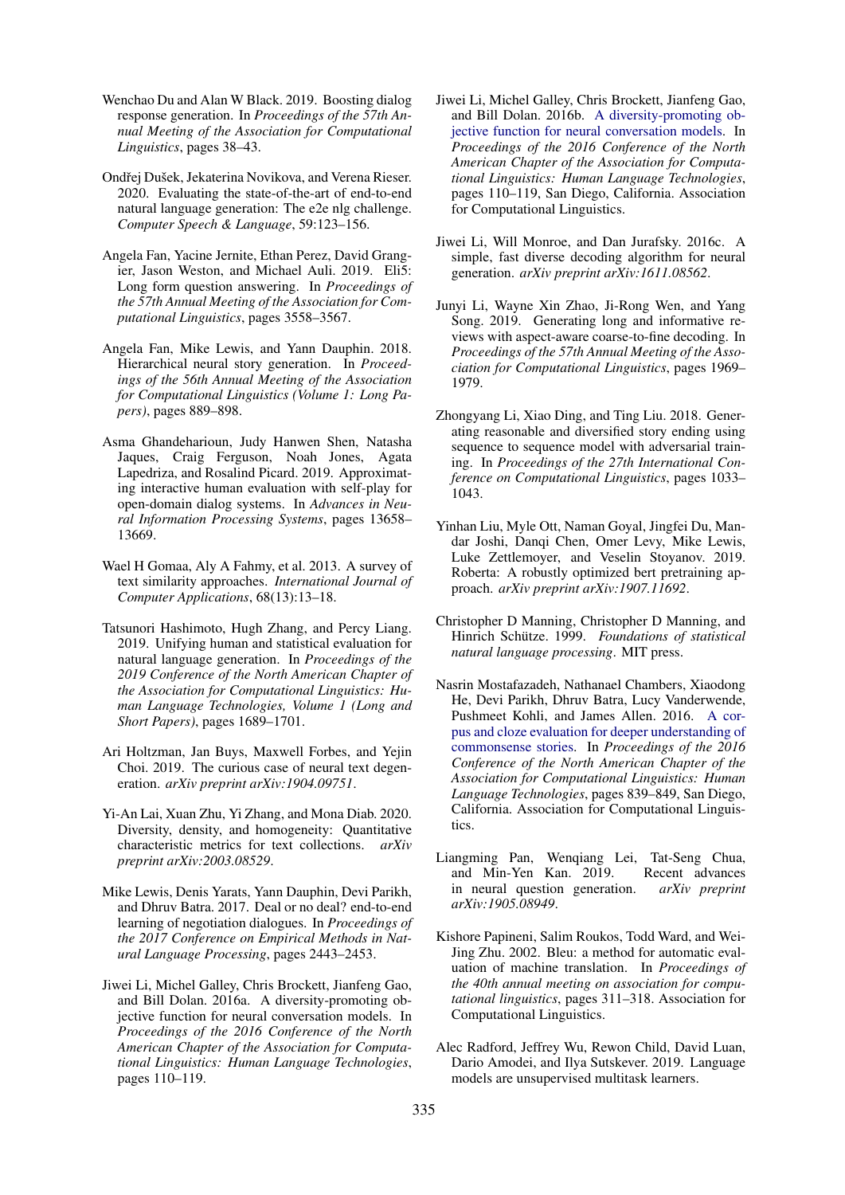- <span id="page-9-6"></span>Wenchao Du and Alan W Black. 2019. Boosting dialog response generation. In *Proceedings of the 57th Annual Meeting of the Association for Computational Linguistics*, pages 38–43.
- <span id="page-9-13"></span>Ondřej Dušek, Jekaterina Novikova, and Verena Rieser. 2020. Evaluating the state-of-the-art of end-to-end natural language generation: The e2e nlg challenge. *Computer Speech & Language*, 59:123–156.
- <span id="page-9-2"></span>Angela Fan, Yacine Jernite, Ethan Perez, David Grangier, Jason Weston, and Michael Auli. 2019. Eli5: Long form question answering. In *Proceedings of the 57th Annual Meeting of the Association for Computational Linguistics*, pages 3558–3567.
- <span id="page-9-10"></span>Angela Fan, Mike Lewis, and Yann Dauphin. 2018. Hierarchical neural story generation. In *Proceedings of the 56th Annual Meeting of the Association for Computational Linguistics (Volume 1: Long Papers)*, pages 889–898.
- <span id="page-9-16"></span>Asma Ghandeharioun, Judy Hanwen Shen, Natasha Jaques, Craig Ferguson, Noah Jones, Agata Lapedriza, and Rosalind Picard. 2019. Approximating interactive human evaluation with self-play for open-domain dialog systems. In *Advances in Neural Information Processing Systems*, pages 13658– 13669.
- <span id="page-9-18"></span>Wael H Gomaa, Aly A Fahmy, et al. 2013. A survey of text similarity approaches. *International Journal of Computer Applications*, 68(13):13–18.
- <span id="page-9-7"></span>Tatsunori Hashimoto, Hugh Zhang, and Percy Liang. 2019. Unifying human and statistical evaluation for natural language generation. In *Proceedings of the 2019 Conference of the North American Chapter of the Association for Computational Linguistics: Human Language Technologies, Volume 1 (Long and Short Papers)*, pages 1689–1701.
- <span id="page-9-5"></span>Ari Holtzman, Jan Buys, Maxwell Forbes, and Yejin Choi. 2019. The curious case of neural text degeneration. *arXiv preprint arXiv:1904.09751*.
- <span id="page-9-15"></span>Yi-An Lai, Xuan Zhu, Yi Zhang, and Mona Diab. 2020. Diversity, density, and homogeneity: Quantitative characteristic metrics for text collections. *arXiv preprint arXiv:2003.08529*.
- <span id="page-9-9"></span>Mike Lewis, Denis Yarats, Yann Dauphin, Devi Parikh, and Dhruv Batra. 2017. Deal or no deal? end-to-end learning of negotiation dialogues. In *Proceedings of the 2017 Conference on Empirical Methods in Natural Language Processing*, pages 2443–2453.
- <span id="page-9-4"></span>Jiwei Li, Michel Galley, Chris Brockett, Jianfeng Gao, and Bill Dolan. 2016a. A diversity-promoting objective function for neural conversation models. In *Proceedings of the 2016 Conference of the North American Chapter of the Association for Computational Linguistics: Human Language Technologies*, pages 110–119.
- <span id="page-9-12"></span>Jiwei Li, Michel Galley, Chris Brockett, Jianfeng Gao, and Bill Dolan. 2016b. [A diversity-promoting ob](https://doi.org/10.18653/v1/N16-1014)[jective function for neural conversation models.](https://doi.org/10.18653/v1/N16-1014) In *Proceedings of the 2016 Conference of the North American Chapter of the Association for Computational Linguistics: Human Language Technologies*, pages 110–119, San Diego, California. Association for Computational Linguistics.
- <span id="page-9-3"></span>Jiwei Li, Will Monroe, and Dan Jurafsky. 2016c. A simple, fast diverse decoding algorithm for neural generation. *arXiv preprint arXiv:1611.08562*.
- <span id="page-9-11"></span>Junyi Li, Wayne Xin Zhao, Ji-Rong Wen, and Yang Song. 2019. Generating long and informative reviews with aspect-aware coarse-to-fine decoding. In *Proceedings of the 57th Annual Meeting of the Association for Computational Linguistics*, pages 1969– 1979.
- <span id="page-9-0"></span>Zhongyang Li, Xiao Ding, and Ting Liu. 2018. Generating reasonable and diversified story ending using sequence to sequence model with adversarial training. In *Proceedings of the 27th International Conference on Computational Linguistics*, pages 1033– 1043.
- <span id="page-9-20"></span>Yinhan Liu, Myle Ott, Naman Goyal, Jingfei Du, Mandar Joshi, Danqi Chen, Omer Levy, Mike Lewis, Luke Zettlemoyer, and Veselin Stoyanov. 2019. Roberta: A robustly optimized bert pretraining approach. *arXiv preprint arXiv:1907.11692*.
- <span id="page-9-14"></span>Christopher D Manning, Christopher D Manning, and Hinrich Schütze. 1999. Foundations of statistical *natural language processing*. MIT press.
- <span id="page-9-19"></span>Nasrin Mostafazadeh, Nathanael Chambers, Xiaodong He, Devi Parikh, Dhruv Batra, Lucy Vanderwende, Pushmeet Kohli, and James Allen. 2016. [A cor](https://doi.org/10.18653/v1/N16-1098)[pus and cloze evaluation for deeper understanding of](https://doi.org/10.18653/v1/N16-1098) [commonsense stories.](https://doi.org/10.18653/v1/N16-1098) In *Proceedings of the 2016 Conference of the North American Chapter of the Association for Computational Linguistics: Human Language Technologies*, pages 839–849, San Diego, California. Association for Computational Linguistics.
- <span id="page-9-1"></span>Liangming Pan, Wenqiang Lei, Tat-Seng Chua, and Min-Yen Kan. 2019. Recent advances in neural question generation. *arXiv preprint arXiv:1905.08949*.
- <span id="page-9-8"></span>Kishore Papineni, Salim Roukos, Todd Ward, and Wei-Jing Zhu. 2002. Bleu: a method for automatic evaluation of machine translation. In *Proceedings of the 40th annual meeting on association for computational linguistics*, pages 311–318. Association for Computational Linguistics.
- <span id="page-9-17"></span>Alec Radford, Jeffrey Wu, Rewon Child, David Luan, Dario Amodei, and Ilya Sutskever. 2019. Language models are unsupervised multitask learners.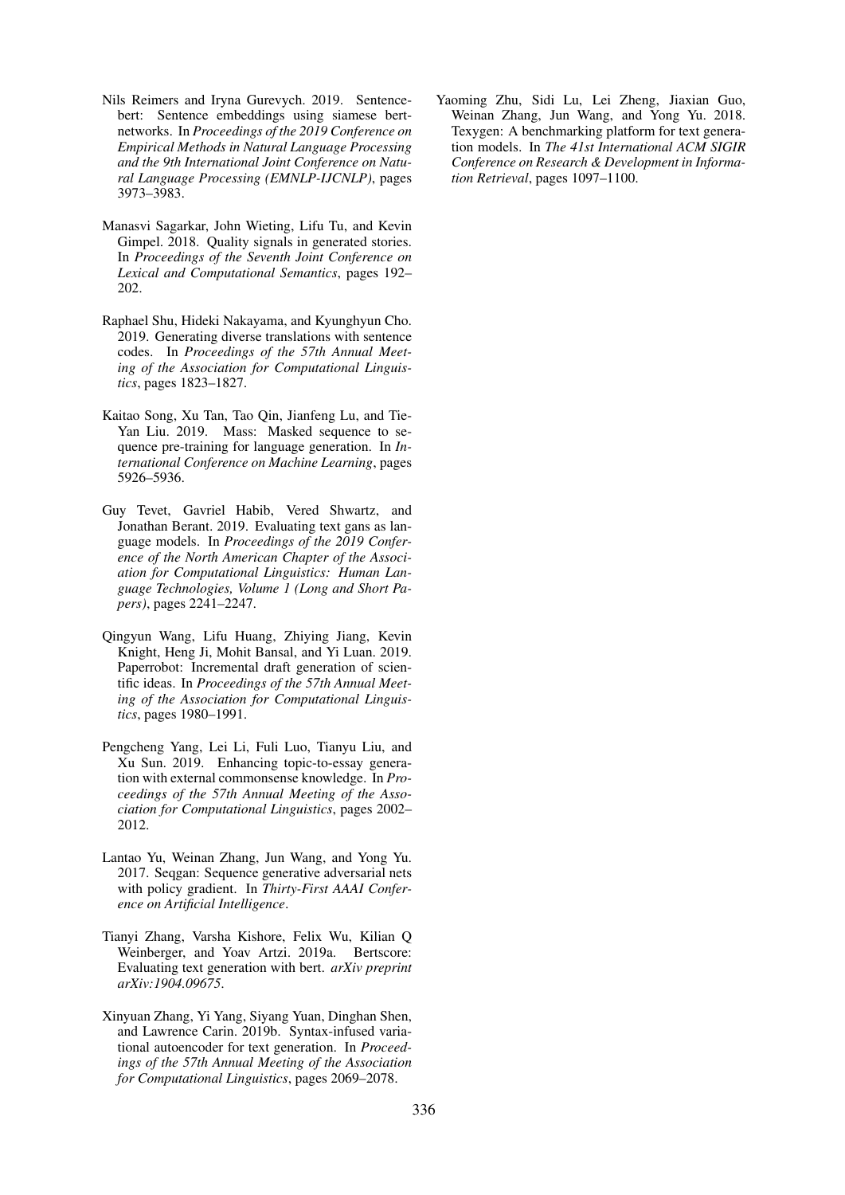- <span id="page-10-9"></span>Nils Reimers and Iryna Gurevych. 2019. Sentencebert: Sentence embeddings using siamese bertnetworks. In *Proceedings of the 2019 Conference on Empirical Methods in Natural Language Processing and the 9th International Joint Conference on Natural Language Processing (EMNLP-IJCNLP)*, pages 3973–3983.
- <span id="page-10-1"></span>Manasvi Sagarkar, John Wieting, Lifu Tu, and Kevin Gimpel. 2018. Quality signals in generated stories. In *Proceedings of the Seventh Joint Conference on Lexical and Computational Semantics*, pages 192– 202.
- <span id="page-10-6"></span>Raphael Shu, Hideki Nakayama, and Kyunghyun Cho. 2019. Generating diverse translations with sentence codes. In *Proceedings of the 57th Annual Meeting of the Association for Computational Linguistics*, pages 1823–1827.
- <span id="page-10-10"></span>Kaitao Song, Xu Tan, Tao Qin, Jianfeng Lu, and Tie-Yan Liu. 2019. Mass: Masked sequence to sequence pre-training for language generation. In *International Conference on Machine Learning*, pages 5926–5936.
- <span id="page-10-4"></span>Guy Tevet, Gavriel Habib, Vered Shwartz, and Jonathan Berant. 2019. Evaluating text gans as language models. In *Proceedings of the 2019 Conference of the North American Chapter of the Association for Computational Linguistics: Human Language Technologies, Volume 1 (Long and Short Papers)*, pages 2241–2247.
- <span id="page-10-2"></span>Qingyun Wang, Lifu Huang, Zhiying Jiang, Kevin Knight, Heng Ji, Mohit Bansal, and Yi Luan. 2019. Paperrobot: Incremental draft generation of scientific ideas. In *Proceedings of the 57th Annual Meeting of the Association for Computational Linguistics*, pages 1980–1991.
- <span id="page-10-7"></span>Pengcheng Yang, Lei Li, Fuli Luo, Tianyu Liu, and Xu Sun. 2019. Enhancing topic-to-essay generation with external commonsense knowledge. In *Proceedings of the 57th Annual Meeting of the Association for Computational Linguistics*, pages 2002– 2012.
- <span id="page-10-3"></span>Lantao Yu, Weinan Zhang, Jun Wang, and Yong Yu. 2017. Seqgan: Sequence generative adversarial nets with policy gradient. In *Thirty-First AAAI Conference on Artificial Intelligence*.
- <span id="page-10-0"></span>Tianyi Zhang, Varsha Kishore, Felix Wu, Kilian Q Weinberger, and Yoav Artzi. 2019a. Bertscore: Evaluating text generation with bert. *arXiv preprint arXiv:1904.09675*.
- <span id="page-10-8"></span>Xinyuan Zhang, Yi Yang, Siyang Yuan, Dinghan Shen, and Lawrence Carin. 2019b. Syntax-infused variational autoencoder for text generation. In *Proceedings of the 57th Annual Meeting of the Association for Computational Linguistics*, pages 2069–2078.

<span id="page-10-5"></span>Yaoming Zhu, Sidi Lu, Lei Zheng, Jiaxian Guo, Weinan Zhang, Jun Wang, and Yong Yu. 2018. Texygen: A benchmarking platform for text generation models. In *The 41st International ACM SIGIR Conference on Research & Development in Information Retrieval*, pages 1097–1100.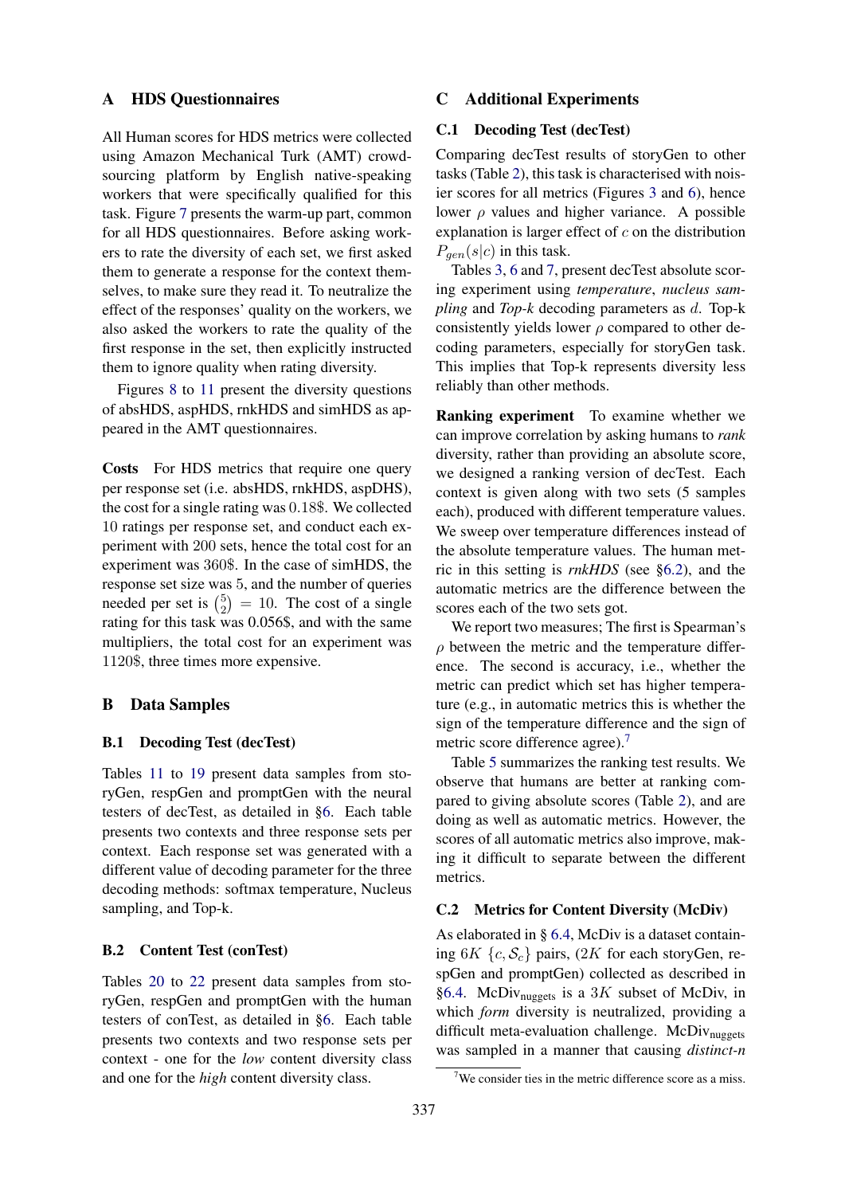#### <span id="page-11-1"></span>A HDS Questionnaires

All Human scores for HDS metrics were collected using Amazon Mechanical Turk (AMT) crowdsourcing platform by English native-speaking workers that were specifically qualified for this task. Figure [7](#page-17-0) presents the warm-up part, common for all HDS questionnaires. Before asking workers to rate the diversity of each set, we first asked them to generate a response for the context themselves, to make sure they read it. To neutralize the effect of the responses' quality on the workers, we also asked the workers to rate the quality of the first response in the set, then explicitly instructed them to ignore quality when rating diversity.

Figures [8](#page-18-0) to [11](#page-20-0) present the diversity questions of absHDS, aspHDS, rnkHDS and simHDS as appeared in the AMT questionnaires.

Costs For HDS metrics that require one query per response set (i.e. absHDS, rnkHDS, aspDHS), the cost for a single rating was 0.18\$. We collected 10 ratings per response set, and conduct each experiment with 200 sets, hence the total cost for an experiment was 360\$. In the case of simHDS, the response set size was 5, and the number of queries needed per set is  $\binom{5}{2}$  $\binom{5}{2}$  = 10. The cost of a single rating for this task was 0.056\$, and with the same multipliers, the total cost for an experiment was 1120\$, three times more expensive.

## <span id="page-11-0"></span>B Data Samples

#### B.1 Decoding Test (decTest)

Tables [11](#page-14-0) to [19](#page-19-0) present data samples from storyGen, respGen and promptGen with the neural testers of decTest, as detailed in [§6.](#page-4-1) Each table presents two contexts and three response sets per context. Each response set was generated with a different value of decoding parameter for the three decoding methods: softmax temperature, Nucleus sampling, and Top-k.

#### B.2 Content Test (conTest)

Tables [20](#page-19-1) to [22](#page-20-1) present data samples from storyGen, respGen and promptGen with the human testers of conTest, as detailed in [§6.](#page-4-1) Each table presents two contexts and two response sets per context - one for the *low* content diversity class and one for the *high* content diversity class.

#### <span id="page-11-2"></span>C Additional Experiments

## C.1 Decoding Test (decTest)

Comparing decTest results of storyGen to other tasks (Table [2\)](#page-6-0), this task is characterised with noisier scores for all metrics (Figures [3](#page-6-1) and [6\)](#page-12-0), hence lower  $\rho$  values and higher variance. A possible explanation is larger effect of  $c$  on the distribution  $P_{gen}(s|c)$  in this task.

Tables [3,](#page-6-2) [6](#page-13-0) and [7,](#page-13-1) present decTest absolute scoring experiment using *temperature*, *nucleus sampling* and *Top-k* decoding parameters as d. Top-k consistently yields lower  $\rho$  compared to other decoding parameters, especially for storyGen task. This implies that Top-k represents diversity less reliably than other methods.

Ranking experiment To examine whether we can improve correlation by asking humans to *rank* diversity, rather than providing an absolute score, we designed a ranking version of decTest. Each context is given along with two sets (5 samples each), produced with different temperature values. We sweep over temperature differences instead of the absolute temperature values. The human metric in this setting is *rnkHDS* (see [§6.2\)](#page-4-2), and the automatic metrics are the difference between the scores each of the two sets got.

We report two measures; The first is Spearman's  $\rho$  between the metric and the temperature difference. The second is accuracy, i.e., whether the metric can predict which set has higher temperature (e.g., in automatic metrics this is whether the sign of the temperature difference and the sign of metric score difference agree).<sup>[7](#page-11-3)</sup>

Table [5](#page-12-1) summarizes the ranking test results. We observe that humans are better at ranking compared to giving absolute scores (Table [2\)](#page-6-0), and are doing as well as automatic metrics. However, the scores of all automatic metrics also improve, making it difficult to separate between the different metrics.

#### C.2 Metrics for Content Diversity (McDiv)

As elaborated in § [6.4,](#page-7-2) McDiv is a dataset containing  $6K \{c, S_c\}$  pairs,  $(2K$  for each storyGen, respGen and promptGen) collected as described in [§6.4.](#page-6-3) McDiv<sub>nuggets</sub> is a 3K subset of McDiv, in which *form* diversity is neutralized, providing a difficult meta-evaluation challenge. McDiv<sub>nuggets</sub> was sampled in a manner that causing *distinct-n*

<span id="page-11-3"></span> $7$ We consider ties in the metric difference score as a miss.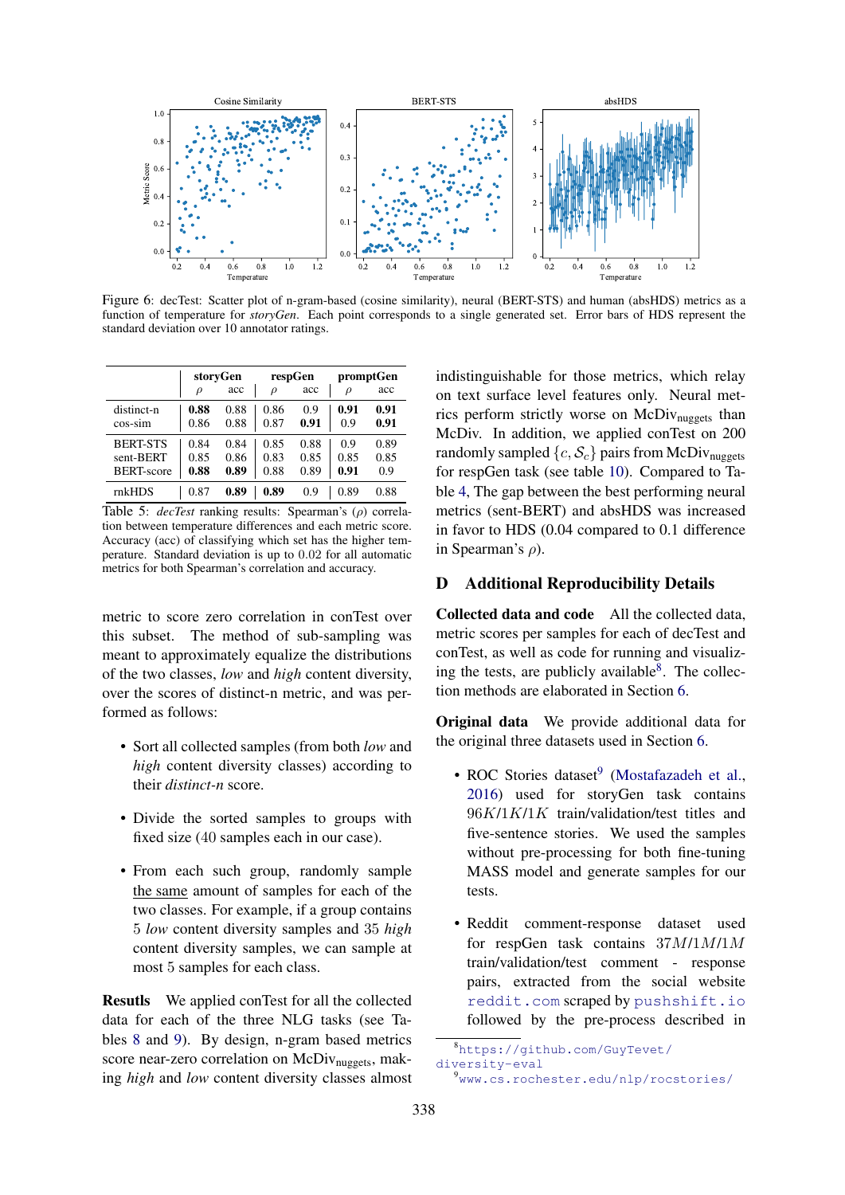<span id="page-12-0"></span>

Figure 6: decTest: Scatter plot of n-gram-based (cosine similarity), neural (BERT-STS) and human (absHDS) metrics as a function of temperature for *storyGen*. Each point corresponds to a single generated set. Error bars of HDS represent the standard deviation over 10 annotator ratings.

<span id="page-12-1"></span>

|                   | storyGen |      |        | respGen | promptGen |      |
|-------------------|----------|------|--------|---------|-----------|------|
|                   | ρ        | acc  | $\rho$ | acc     | $\rho$    | acc  |
| distinct-n        | 0.88     | 0.88 | 0.86   | 0.9     | 0.91      | 0.91 |
| cos-sim           | 0.86     | 0.88 | 0.87   | 0.91    | 0.9       | 0.91 |
| <b>BERT-STS</b>   | 0.84     | 0.84 | 0.85   | 0.88    | 0.9       | 0.89 |
| sent-BERT         | 0.85     | 0.86 | 0.83   | 0.85    | 0.85      | 0.85 |
| <b>BERT-score</b> | 0.88     | 0.89 | 0.88   | 0.89    | 0.91      | 0.9  |
| mkHDS             | 0.87     | 0.89 | 0.89   | 0.9     | 0.89      | 0.88 |

Table 5: *decTest* ranking results: Spearman's (ρ) correlation between temperature differences and each metric score. Accuracy (acc) of classifying which set has the higher temperature. Standard deviation is up to 0.02 for all automatic metrics for both Spearman's correlation and accuracy.

metric to score zero correlation in conTest over this subset. The method of sub-sampling was meant to approximately equalize the distributions of the two classes, *low* and *high* content diversity, over the scores of distinct-n metric, and was performed as follows:

- Sort all collected samples (from both *low* and *high* content diversity classes) according to their *distinct-n* score.
- Divide the sorted samples to groups with fixed size (40 samples each in our case).
- From each such group, randomly sample the same amount of samples for each of the two classes. For example, if a group contains 5 *low* content diversity samples and 35 *high* content diversity samples, we can sample at most 5 samples for each class.

Resutls We applied conTest for all the collected data for each of the three NLG tasks (see Tables [8](#page-13-2) and [9\)](#page-13-3). By design, n-gram based metrics score near-zero correlation on McDiv<sub>nuggets</sub>, making *high* and *low* content diversity classes almost indistinguishable for those metrics, which relay on text surface level features only. Neural metrics perform strictly worse on  $McDiv_{n\omega\text{eets}}$  than McDiv. In addition, we applied conTest on 200 randomly sampled  $\{c, S_c\}$  pairs from McDiv<sub>nuggets</sub> for respGen task (see table [10\)](#page-13-4). Compared to Table [4,](#page-7-0) The gap between the best performing neural metrics (sent-BERT) and absHDS was increased in favor to HDS (0.04 compared to 0.1 difference in Spearman's  $\rho$ ).

## D Additional Reproducibility Details

Collected data and code All the collected data, metric scores per samples for each of decTest and conTest, as well as code for running and visualizing the tests, are publicly available $8$ . The collection methods are elaborated in Section [6.](#page-4-1)

Original data We provide additional data for the original three datasets used in Section [6.](#page-4-1)

- ROC Stories dataset<sup>[9](#page-12-3)</sup> [\(Mostafazadeh et al.,](#page-9-19) [2016\)](#page-9-19) used for storyGen task contains 96K/1K/1K train/validation/test titles and five-sentence stories. We used the samples without pre-processing for both fine-tuning MASS model and generate samples for our tests.
- Reddit comment-response dataset used for respGen task contains 37M/1M/1M train/validation/test comment - response pairs, extracted from the social website <reddit.com> scraped by <pushshift.io> followed by the pre-process described in

<span id="page-12-2"></span><sup>8</sup>[https://github.com/GuyTevet/](https://github.com/GuyTevet/diversity-eval) [diversity-eval](https://github.com/GuyTevet/diversity-eval)

<span id="page-12-3"></span><sup>9</sup><www.cs.rochester.edu/nlp/rocstories/>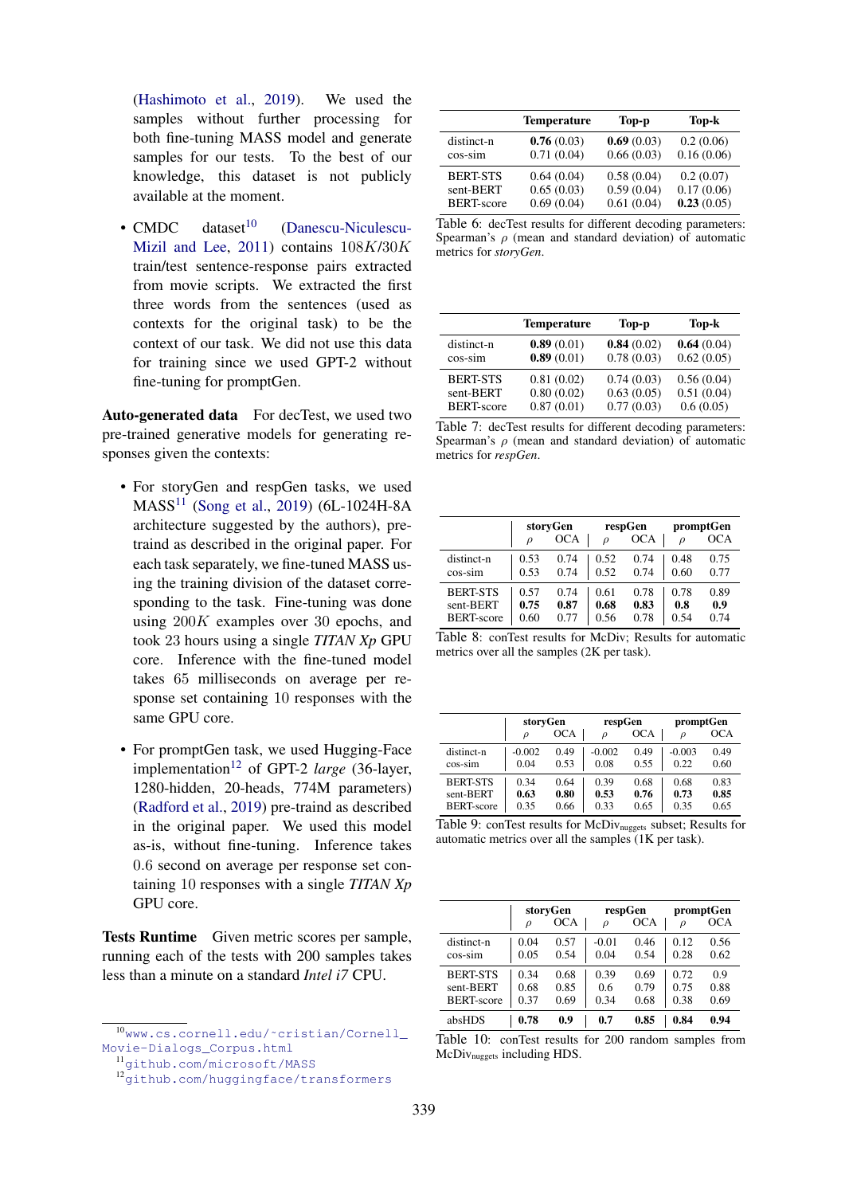[\(Hashimoto et al.,](#page-9-7) [2019\)](#page-9-7). We used the samples without further processing for both fine-tuning MASS model and generate samples for our tests. To the best of our knowledge, this dataset is not publicly available at the moment.

• CMDC dataset $^{10}$  $^{10}$  $^{10}$  [\(Danescu-Niculescu-](#page-8-4)[Mizil and Lee,](#page-8-4) [2011\)](#page-8-4) contains 108K/30K train/test sentence-response pairs extracted from movie scripts. We extracted the first three words from the sentences (used as contexts for the original task) to be the context of our task. We did not use this data for training since we used GPT-2 without fine-tuning for promptGen.

Auto-generated data For decTest, we used two pre-trained generative models for generating responses given the contexts:

- For storyGen and respGen tasks, we used MASS[11](#page-13-6) [\(Song et al.,](#page-10-10) [2019\)](#page-10-10) (6L-1024H-8A architecture suggested by the authors), pretraind as described in the original paper. For each task separately, we fine-tuned MASS using the training division of the dataset corresponding to the task. Fine-tuning was done using 200K examples over 30 epochs, and took 23 hours using a single *TITAN Xp* GPU core. Inference with the fine-tuned model takes 65 milliseconds on average per response set containing 10 responses with the same GPU core.
- For promptGen task, we used Hugging-Face implementation<sup>[12](#page-13-7)</sup> of GPT-2 *large* (36-layer, 1280-hidden, 20-heads, 774M parameters) [\(Radford et al.,](#page-9-17) [2019\)](#page-9-17) pre-traind as described in the original paper. We used this model as-is, without fine-tuning. Inference takes 0.6 second on average per response set containing 10 responses with a single *TITAN Xp* GPU core.

Tests Runtime Given metric scores per sample, running each of the tests with 200 samples takes less than a minute on a standard *Intel i7* CPU.

<span id="page-13-0"></span>

|                   | <b>Temperature</b> | Top-p      | Top-k      |
|-------------------|--------------------|------------|------------|
| distinct-n        | 0.76(0.03)         | 0.69(0.03) | 0.2(0.06)  |
| $cos-sim$         | 0.71(0.04)         | 0.66(0.03) | 0.16(0.06) |
| <b>BERT-STS</b>   | 0.64(0.04)         | 0.58(0.04) | 0.2(0.07)  |
| sent-BERT         | 0.65(0.03)         | 0.59(0.04) | 0.17(0.06) |
| <b>BERT-score</b> | 0.69(0.04)         | 0.61(0.04) | 0.23(0.05) |

Table 6: decTest results for different decoding parameters: Spearman's  $\rho$  (mean and standard deviation) of automatic metrics for *storyGen*.

<span id="page-13-1"></span>

|                   | <b>Temperature</b> | Top-p      | Top-k      |
|-------------------|--------------------|------------|------------|
| distinct-n        | 0.89(0.01)         | 0.84(0.02) | 0.64(0.04) |
| $cos-sim$         | 0.89(0.01)         | 0.78(0.03) | 0.62(0.05) |
| <b>BERT-STS</b>   | 0.81(0.02)         | 0.74(0.03) | 0.56(0.04) |
| sent-BERT         | 0.80(0.02)         | 0.63(0.05) | 0.51(0.04) |
| <b>BERT-score</b> | 0.87(0.01)         | 0.77(0.03) | 0.6(0.05)  |

Table 7: decTest results for different decoding parameters: Spearman's  $\rho$  (mean and standard deviation) of automatic metrics for *respGen*.

<span id="page-13-2"></span>

|                   | $\rho$ | storyGen<br>OCA | $\Omega$ | respGen<br><b>OCA</b> |      | promptGen<br><b>OCA</b> |
|-------------------|--------|-----------------|----------|-----------------------|------|-------------------------|
| distinct-n        | 0.53   | 0.74            | 0.52     | 0.74                  | 0.48 | 0.75                    |
| $cos-sim$         | 0.53   | 0.74            | 0.52     | 0.74                  | 0.60 | 0.77                    |
| <b>BERT-STS</b>   | 0.57   | 0.74            | 0.61     | 0.78                  | 0.78 | 0.89                    |
| sent-BERT         | 0.75   | 0.87            | 0.68     | 0.83                  | 0.8  | 0.9                     |
| <b>BERT-score</b> | 0.60   | 0.77            | 0.56     | 0.78                  | 0.54 | 0.74                    |

Table 8: conTest results for McDiv; Results for automatic metrics over all the samples (2K per task).

<span id="page-13-3"></span>

|                   | storyGen |            |               | respGen    |          | promptGen  |  |
|-------------------|----------|------------|---------------|------------|----------|------------|--|
|                   | $\rho$   | <b>OCA</b> | $\mathcal{D}$ | <b>OCA</b> | ρ        | <b>OCA</b> |  |
| distinct-n        | $-0.002$ | 0.49       | $-0.002$      | 0.49       | $-0.003$ | 0.49       |  |
| cos-sim           | 0.04     | 0.53       | 0.08          | 0.55       | 0.22     | 0.60       |  |
| <b>BERT-STS</b>   | 0.34     | 0.64       | 0.39          | 0.68       | 0.68     | 0.83       |  |
| sent-BERT         | 0.63     | 0.80       | 0.53          | 0.76       | 0.73     | 0.85       |  |
| <b>BERT-score</b> | 0.35     | 0.66       | 0.33          | 0.65       | 0.35     | 0.65       |  |

Table 9: conTest results for McDiv<sub>nuggets</sub> subset; Results for automatic metrics over all the samples (1K per task).

<span id="page-13-4"></span>

|                   | storyGen   |      | respGen |      | promptGen  |      |
|-------------------|------------|------|---------|------|------------|------|
|                   | <b>OCA</b> |      | OCA     |      | <b>OCA</b> |      |
|                   | $\rho$     |      | $\rho$  |      | $\rho$     |      |
| distinct-n        | 0.04       | 0.57 | $-0.01$ | 0.46 | 0.12       | 0.56 |
| cos-sim           | 0.05       | 0.54 | 0.04    | 0.54 | 0.28       | 0.62 |
| <b>BERT-STS</b>   | 0.34       | 0.68 | 0.39    | 0.69 | 0.72       | 0.9  |
| sent-BERT         | 0.68       | 0.85 | 0.6     | 0.79 | 0.75       | 0.88 |
| <b>BERT-score</b> | 0.37       | 0.69 | 0.34    | 0.68 | 0.38       | 0.69 |
| absHDS            | 0.78       | 0.9  | 0.7     | 0.85 | 0.84       | 0.94 |

Table 10: conTest results for 200 random samples from McDiv<sub>nuggets</sub> including HDS.

<span id="page-13-5"></span><sup>10</sup>[www.cs.cornell.edu/˜cristian/Cornell\\_](www.cs.cornell.edu/~cristian/Cornell_Movie-Dialogs_Corpus.html) [Movie-Dialogs\\_Corpus.html](www.cs.cornell.edu/~cristian/Cornell_Movie-Dialogs_Corpus.html)

<span id="page-13-6"></span><sup>11</sup><github.com/microsoft/MASS>

<span id="page-13-7"></span><sup>12</sup><github.com/huggingface/transformers>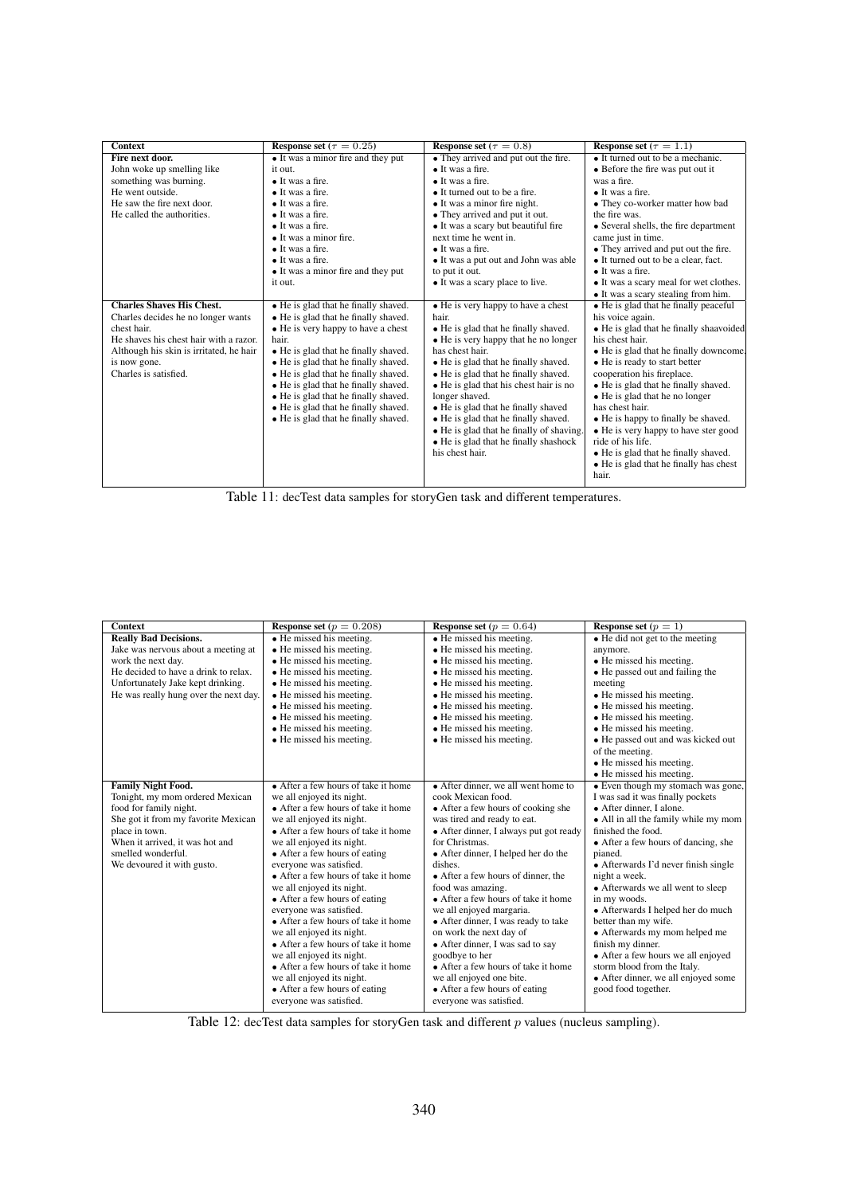<span id="page-14-0"></span>

| <b>Context</b>                          | Response set ( $\tau = 0.25$ )       | <b>Response set</b> ( $\tau = 0.8$ )     | Response set ( $\tau = 1.1$ )           |
|-----------------------------------------|--------------------------------------|------------------------------------------|-----------------------------------------|
| Fire next door.                         | • It was a minor fire and they put   | • They arrived and put out the fire.     | • It turned out to be a mechanic.       |
| John woke up smelling like              | it out.                              | $\bullet$ It was a fire.                 | • Before the fire was put out it        |
| something was burning.                  | $\bullet$ It was a fire.             | $\bullet$ It was a fire.                 | was a fire.                             |
| He went outside.                        | $\bullet$ It was a fire.             | • It turned out to be a fire.            | $\bullet$ It was a fire.                |
| He saw the fire next door.              | • It was a fire.                     | • It was a minor fire night.             | • They co-worker matter how bad         |
| He called the authorities.              | $\bullet$ It was a fire.             | • They arrived and put it out.           | the fire was.                           |
|                                         | $\bullet$ It was a fire.             | • It was a scary but beautiful fire      | • Several shells, the fire department   |
|                                         | • It was a minor fire.               | next time he went in.                    | came just in time.                      |
|                                         | $\bullet$ It was a fire.             | $\bullet$ It was a fire.                 | • They arrived and put out the fire.    |
|                                         | $\bullet$ It was a fire.             | • It was a put out and John was able     | • It turned out to be a clear, fact.    |
|                                         | • It was a minor fire and they put   | to put it out.                           | $\bullet$ It was a fire.                |
|                                         | it out.                              | • It was a scary place to live.          | • It was a scary meal for wet clothes.  |
|                                         |                                      |                                          | • It was a scary stealing from him.     |
| <b>Charles Shaves His Chest.</b>        | • He is glad that he finally shaved. | • He is very happy to have a chest       | • He is glad that he finally peaceful   |
| Charles decides he no longer wants      | • He is glad that he finally shaved. | hair.                                    | his voice again.                        |
| chest hair.                             | • He is very happy to have a chest   | • He is glad that he finally shaved.     | • He is glad that he finally shaavoided |
| He shaves his chest hair with a razor.  | hair.                                | • He is very happy that he no longer     | his chest hair.                         |
| Although his skin is irritated, he hair | • He is glad that he finally shaved. | has chest hair.                          | • He is glad that he finally downcome.  |
| is now gone.                            | • He is glad that he finally shaved. | • He is glad that he finally shaved.     | • He is ready to start better           |
| Charles is satisfied.                   | • He is glad that he finally shaved. | • He is glad that he finally shaved.     | cooperation his fireplace.              |
|                                         | • He is glad that he finally shaved. | • He is glad that his chest hair is no   | • He is glad that he finally shaved.    |
|                                         | • He is glad that he finally shaved. | longer shaved.                           | • He is glad that he no longer          |
|                                         | • He is glad that he finally shaved. | • He is glad that he finally shaved      | has chest hair.                         |
|                                         | • He is glad that he finally shaved. | • He is glad that he finally shaved.     | • He is happy to finally be shaved.     |
|                                         |                                      | • He is glad that he finally of shaving. | • He is very happy to have ster good    |
|                                         |                                      | • He is glad that he finally shashock    | ride of his life.                       |
|                                         |                                      | his chest hair.                          | • He is glad that he finally shaved.    |
|                                         |                                      |                                          | • He is glad that he finally has chest  |
|                                         |                                      |                                          | hair.                                   |

Table 11: decTest data samples for storyGen task and different temperatures.

| <b>Context</b>                        | <b>Response set</b> ( $p = 0.208$ ) | <b>Response set</b> ( $p = 0.64$ )     | <b>Response set</b> $(p = 1)$           |
|---------------------------------------|-------------------------------------|----------------------------------------|-----------------------------------------|
| <b>Really Bad Decisions.</b>          | $\bullet$ He missed his meeting.    | $\bullet$ He missed his meeting.       | $\bullet$ He did not get to the meeting |
| Jake was nervous about a meeting at   | • He missed his meeting.            | • He missed his meeting.               | anymore.                                |
| work the next day.                    | • He missed his meeting.            | • He missed his meeting.               | • He missed his meeting.                |
| He decided to have a drink to relax.  | • He missed his meeting.            | • He missed his meeting.               | • He passed out and failing the         |
| Unfortunately Jake kept drinking.     | • He missed his meeting.            | • He missed his meeting.               | meeting                                 |
| He was really hung over the next day. | • He missed his meeting.            | • He missed his meeting.               | • He missed his meeting.                |
|                                       | • He missed his meeting.            | • He missed his meeting.               | • He missed his meeting.                |
|                                       | • He missed his meeting.            | • He missed his meeting.               | • He missed his meeting.                |
|                                       | • He missed his meeting.            | • He missed his meeting.               | • He missed his meeting.                |
|                                       | • He missed his meeting.            | • He missed his meeting.               | • He passed out and was kicked out      |
|                                       |                                     |                                        | of the meeting.                         |
|                                       |                                     |                                        | • He missed his meeting.                |
|                                       |                                     |                                        | • He missed his meeting.                |
| <b>Family Night Food.</b>             | • After a few hours of take it home | • After dinner, we all went home to    | • Even though my stomach was gone,      |
| Tonight, my mom ordered Mexican       | we all enjoyed its night.           | cook Mexican food.                     | I was sad it was finally pockets        |
| food for family night.                | • After a few hours of take it home | • After a few hours of cooking she     | • After dinner, I alone.                |
| She got it from my favorite Mexican   | we all enjoyed its night.           | was tired and ready to eat.            | • All in all the family while my mom    |
| place in town.                        | • After a few hours of take it home | • After dinner, I always put got ready | finished the food.                      |
| When it arrived, it was hot and       | we all enjoyed its night.           | for Christmas.                         | • After a few hours of dancing, she     |
| smelled wonderful.                    | • After a few hours of eating       | • After dinner, I helped her do the    | pianed.                                 |
| We devoured it with gusto.            | everyone was satisfied.             | dishes.                                | • Afterwards I'd never finish single    |
|                                       | • After a few hours of take it home | • After a few hours of dinner, the     | night a week.                           |
|                                       | we all enjoyed its night.           | food was amazing.                      | • Afterwards we all went to sleep       |
|                                       | • After a few hours of eating       | • After a few hours of take it home    | in my woods.                            |
|                                       | everyone was satisfied.             | we all enjoyed margaria.               | • Afterwards I helped her do much       |
|                                       | • After a few hours of take it home | • After dinner, I was ready to take    | better than my wife.                    |
|                                       | we all enjoyed its night.           | on work the next day of                | • Afterwards my mom helped me           |
|                                       | • After a few hours of take it home | • After dinner, I was sad to say       | finish my dinner.                       |
|                                       | we all enjoyed its night.           | goodbye to her                         | • After a few hours we all enjoyed      |
|                                       | • After a few hours of take it home | • After a few hours of take it home    | storm blood from the Italy.             |
|                                       | we all enjoyed its night.           | we all enjoyed one bite.               | • After dinner, we all enjoyed some     |
|                                       | • After a few hours of eating       | • After a few hours of eating          | good food together.                     |
|                                       | everyone was satisfied.             | everyone was satisfied.                |                                         |

Table 12: decTest data samples for storyGen task and different p values (nucleus sampling).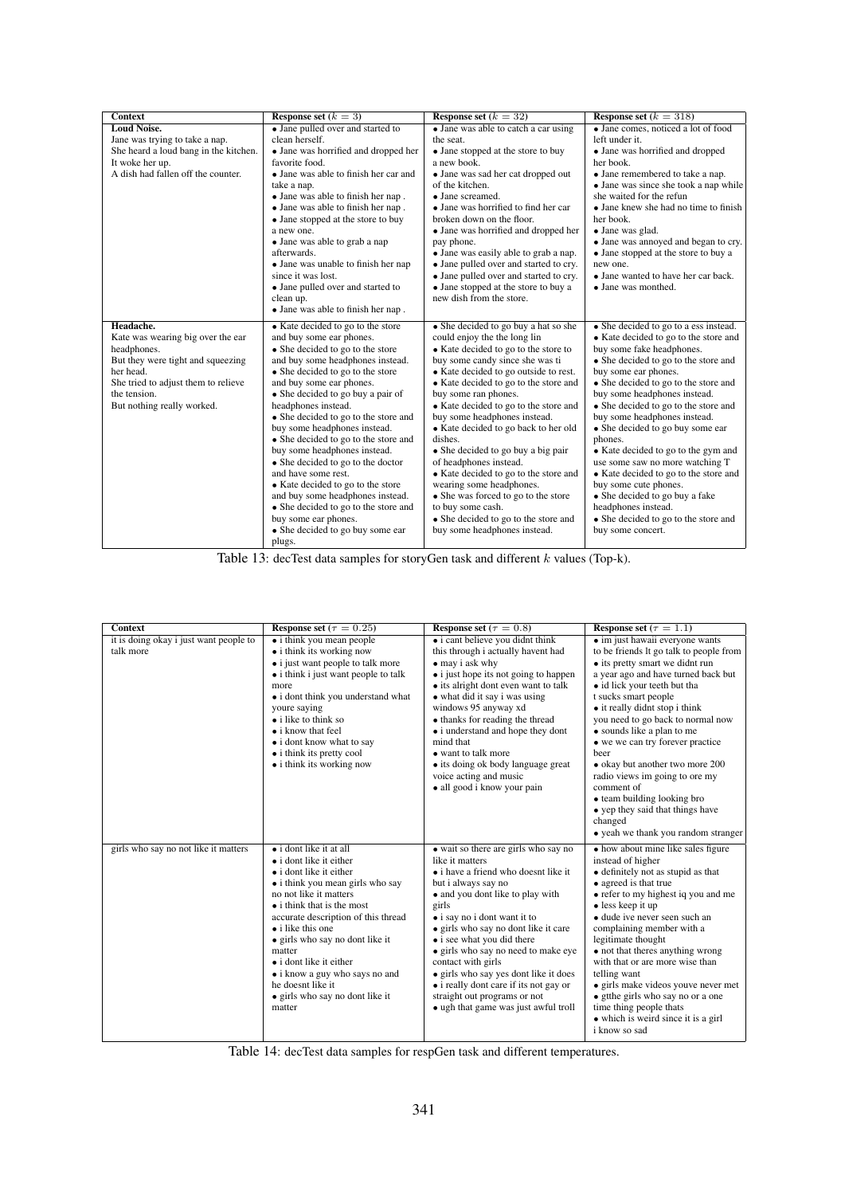| <b>Context</b>                                                                                                                                                                          | <b>Response set</b> $(k = 3)$                                                                                                                                                                                                                                                                                                                                                                                                                                                                                                                                                                                                   | <b>Response set</b> $(k = 32)$                                                                                                                                                                                                                                                                                                                                                                                                                                                                                                                                                                                         | Response set $(k = 318)$                                                                                                                                                                                                                                                                                                                                                                                                                                                                                                                                                                            |
|-----------------------------------------------------------------------------------------------------------------------------------------------------------------------------------------|---------------------------------------------------------------------------------------------------------------------------------------------------------------------------------------------------------------------------------------------------------------------------------------------------------------------------------------------------------------------------------------------------------------------------------------------------------------------------------------------------------------------------------------------------------------------------------------------------------------------------------|------------------------------------------------------------------------------------------------------------------------------------------------------------------------------------------------------------------------------------------------------------------------------------------------------------------------------------------------------------------------------------------------------------------------------------------------------------------------------------------------------------------------------------------------------------------------------------------------------------------------|-----------------------------------------------------------------------------------------------------------------------------------------------------------------------------------------------------------------------------------------------------------------------------------------------------------------------------------------------------------------------------------------------------------------------------------------------------------------------------------------------------------------------------------------------------------------------------------------------------|
| <b>Loud Noise.</b><br>Jane was trying to take a nap.<br>She heard a loud bang in the kitchen.<br>It woke her up.<br>A dish had fallen off the counter.                                  | • Jane pulled over and started to<br>clean herself.<br>• Jane was horrified and dropped her<br>favorite food.<br>• Jane was able to finish her car and<br>take a nap.<br>• Jane was able to finish her nap.<br>• Jane was able to finish her nap.<br>• Jane stopped at the store to buy<br>a new one.<br>• Jane was able to grab a nap<br>afterwards.                                                                                                                                                                                                                                                                           | • Jane was able to catch a car using<br>the seat.<br>• Jane stopped at the store to buy<br>a new book.<br>• Jane was sad her cat dropped out<br>of the kitchen.<br>$\bullet$ Jane screamed.<br>• Jane was horrified to find her car<br>broken down on the floor.<br>• Jane was horrified and dropped her<br>pay phone.<br>• Jane was easily able to grab a nap.                                                                                                                                                                                                                                                        | • Jane comes, noticed a lot of food<br>left under it.<br>• Jane was horrified and dropped<br>her book.<br>• Jane remembered to take a nap.<br>• Jane was since she took a nap while<br>she waited for the refun<br>• Jane knew she had no time to finish<br>her book.<br>• Jane was glad.<br>• Jane was annoyed and began to cry.<br>• Jane stopped at the store to buy a                                                                                                                                                                                                                           |
| Headache.                                                                                                                                                                               | • Jane was unable to finish her nap<br>since it was lost.<br>• Jane pulled over and started to<br>clean up.<br>• Jane was able to finish her nap.<br>• Kate decided to go to the store                                                                                                                                                                                                                                                                                                                                                                                                                                          | • Jane pulled over and started to cry.<br>• Jane pulled over and started to cry.<br>• Jane stopped at the store to buy a<br>new dish from the store.<br>• She decided to go buy a hat so she                                                                                                                                                                                                                                                                                                                                                                                                                           | new one.<br>• Jane wanted to have her car back.<br>• Jane was monthed.<br>• She decided to go to a ess instead.                                                                                                                                                                                                                                                                                                                                                                                                                                                                                     |
| Kate was wearing big over the ear<br>headphones.<br>But they were tight and squeezing<br>her head.<br>She tried to adjust them to relieve<br>the tension.<br>But nothing really worked. | and buy some ear phones.<br>• She decided to go to the store<br>and buy some headphones instead.<br>• She decided to go to the store<br>and buy some ear phones.<br>• She decided to go buy a pair of<br>headphones instead.<br>• She decided to go to the store and<br>buy some headphones instead.<br>• She decided to go to the store and<br>buy some headphones instead.<br>• She decided to go to the doctor<br>and have some rest.<br>• Kate decided to go to the store<br>and buy some headphones instead.<br>• She decided to go to the store and<br>buy some ear phones.<br>• She decided to go buy some ear<br>plugs. | could enjoy the the long lin<br>• Kate decided to go to the store to<br>buy some candy since she was ti<br>• Kate decided to go outside to rest.<br>• Kate decided to go to the store and<br>buy some ran phones.<br>• Kate decided to go to the store and<br>buy some headphones instead.<br>• Kate decided to go back to her old<br>dishes.<br>• She decided to go buy a big pair<br>of headphones instead.<br>• Kate decided to go to the store and<br>wearing some headphones.<br>• She was forced to go to the store<br>to buy some cash.<br>• She decided to go to the store and<br>buy some headphones instead. | • Kate decided to go to the store and<br>buy some fake headphones.<br>• She decided to go to the store and<br>buy some ear phones.<br>• She decided to go to the store and<br>buy some headphones instead.<br>• She decided to go to the store and<br>buy some headphones instead.<br>• She decided to go buy some ear<br>phones.<br>• Kate decided to go to the gym and<br>use some saw no more watching T<br>• Kate decided to go to the store and<br>buy some cute phones.<br>• She decided to go buy a fake<br>headphones instead.<br>• She decided to go to the store and<br>buy some concert. |

Table 13: decTest data samples for storyGen task and different k values (Top-k).

| <b>Context</b>                         | Response set ( $\tau = 0.25$ )                                                                                                                                                                                                                                                                                                                                                                                                                    | Response set ( $\tau = 0.8$ )                                                                                                                                                                                                                                                                                                                                                                                                                                                                             | Response set ( $\tau = 1.1$ )                                                                                                                                                                                                                                                                                                                                                                                                                                                                                                      |
|----------------------------------------|---------------------------------------------------------------------------------------------------------------------------------------------------------------------------------------------------------------------------------------------------------------------------------------------------------------------------------------------------------------------------------------------------------------------------------------------------|-----------------------------------------------------------------------------------------------------------------------------------------------------------------------------------------------------------------------------------------------------------------------------------------------------------------------------------------------------------------------------------------------------------------------------------------------------------------------------------------------------------|------------------------------------------------------------------------------------------------------------------------------------------------------------------------------------------------------------------------------------------------------------------------------------------------------------------------------------------------------------------------------------------------------------------------------------------------------------------------------------------------------------------------------------|
| it is doing okay i just want people to | • i think you mean people                                                                                                                                                                                                                                                                                                                                                                                                                         | • i cant believe you didnt think                                                                                                                                                                                                                                                                                                                                                                                                                                                                          | • im just hawaii everyone wants                                                                                                                                                                                                                                                                                                                                                                                                                                                                                                    |
| talk more                              | • i think its working now<br>• i just want people to talk more<br>• i think i just want people to talk<br>more<br>• i dont think you understand what<br>youre saying<br>• i like to think so<br>• i know that feel<br>• i dont know what to say<br>• i think its pretty cool<br>$\bullet$ i think its working now                                                                                                                                 | this through i actually havent had<br>• may i ask why<br>• i just hope its not going to happen<br>• its alright dont even want to talk<br>• what did it say i was using<br>windows 95 anyway xd<br>• thanks for reading the thread<br>• i understand and hope they dont<br>mind that<br>• want to talk more<br>• its doing ok body language great<br>voice acting and music<br>• all good i know your pain                                                                                                | to be friends lt go talk to people from<br>• its pretty smart we didnt run<br>a year ago and have turned back but<br>• id lick your teeth but tha<br>t sucks smart people<br>• it really didnt stop i think<br>you need to go back to normal now<br>• sounds like a plan to me<br>• we we can try forever practice<br>heer<br>• okay but another two more 200<br>radio views im going to ore my<br>comment of<br>• team building looking bro<br>• yep they said that things have<br>changed<br>• yeah we thank you random stranger |
| girls who say no not like it matters   | $\bullet$ i dont like it at all<br>$\bullet$ i dont like it either<br>$\bullet$ i dont like it either<br>• i think you mean girls who say<br>no not like it matters<br>• i think that is the most<br>accurate description of this thread<br>• i like this one<br>• girls who say no dont like it<br>matter<br>$\bullet$ i dont like it either<br>• i know a guy who says no and<br>he doesnt like it<br>• girls who say no dont like it<br>matter | • wait so there are girls who say no<br>like it matters<br>• i have a friend who doesnt like it<br>but i always say no<br>• and you dont like to play with<br>girls<br>$\bullet$ i say no i dont want it to<br>• girls who say no dont like it care<br>• i see what you did there<br>· girls who say no need to make eye<br>contact with girls<br>• girls who say yes dont like it does<br>• i really dont care if its not gay or<br>straight out programs or not<br>• ugh that game was just awful troll | • how about mine like sales figure<br>instead of higher<br>• definitely not as stupid as that<br>• agreed is that true<br>• refer to my highest iq you and me<br>• less keep it up<br>• dude ive never seen such an<br>complaining member with a<br>legitimate thought<br>• not that theres anything wrong<br>with that or are more wise than<br>telling want<br>• girls make videos youve never met<br>• gtthe girls who say no or a one<br>time thing people thats<br>• which is weird since it is a girl<br>i know so sad       |

Table 14: decTest data samples for respGen task and different temperatures.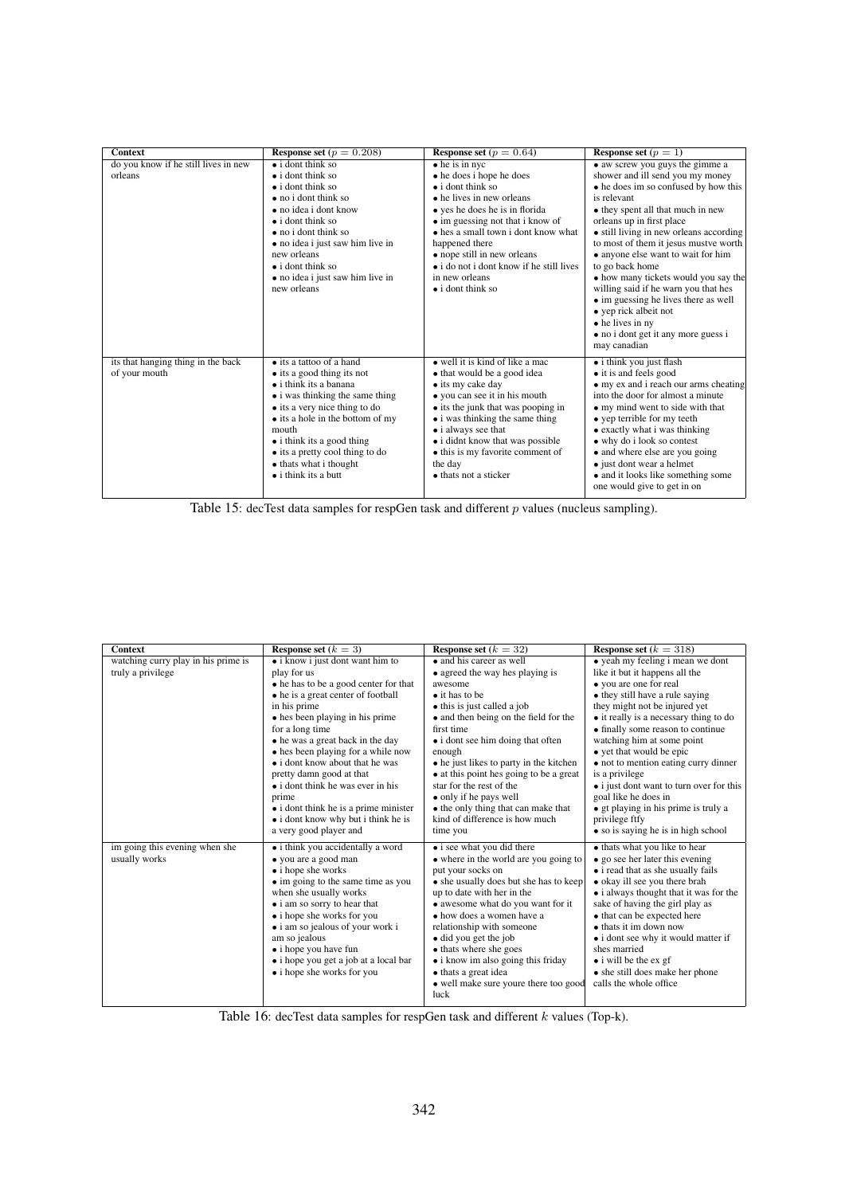| <b>Context</b>                                      | Response set ( $p = 0.208$ )                                                                                                                                                                                                                                                                                                                                 | <b>Response set</b> $(p = 0.64)$                                                                                                                                                                                                                                                                                                                                                      | <b>Response set</b> $(p = 1)$                                                                                                                                                                                                                                                                                                                                                                                                                                                                                                                                                 |
|-----------------------------------------------------|--------------------------------------------------------------------------------------------------------------------------------------------------------------------------------------------------------------------------------------------------------------------------------------------------------------------------------------------------------------|---------------------------------------------------------------------------------------------------------------------------------------------------------------------------------------------------------------------------------------------------------------------------------------------------------------------------------------------------------------------------------------|-------------------------------------------------------------------------------------------------------------------------------------------------------------------------------------------------------------------------------------------------------------------------------------------------------------------------------------------------------------------------------------------------------------------------------------------------------------------------------------------------------------------------------------------------------------------------------|
| do you know if he still lives in new<br>orleans     | $\bullet$ i dont think so<br>$\bullet$ i dont think so<br>$\bullet$ i dont think so<br>$\bullet$ no i dont think so<br>• no idea i dont know<br>$\bullet$ i dont think so<br>$\bullet$ no i dont think so<br>• no idea i just saw him live in<br>new orleans<br>$\bullet$ i dont think so<br>• no idea i just saw him live in<br>new orleans                 | $\bullet$ he is in nyc<br>• he does i hope he does<br>$\bullet$ i dont think so<br>$\bullet$ he lives in new orleans<br>• yes he does he is in florida<br>• im guessing not that i know of<br>• hes a small town i dont know what<br>happened there<br>• nope still in new orleans<br>$\bullet$ i do not i dont know if he still lives<br>in new orleans<br>$\bullet$ i dont think so | • aw screw you guys the gimme a<br>shower and ill send you my money<br>• he does im so confused by how this<br>is relevant<br>• they spent all that much in new<br>orleans up in first place<br>• still living in new orleans according<br>to most of them it jesus mustve worth<br>• anyone else want to wait for him<br>to go back home<br>• how many tickets would you say the<br>willing said if he warn you that hes<br>• im guessing he lives there as well<br>$\bullet$ yep rick albeit not<br>• he lives in ny<br>• no i dont get it any more guess i<br>may canadian |
| its that hanging thing in the back<br>of your mouth | $\bullet$ its a tattoo of a hand<br>$\bullet$ its a good thing its not<br>$\bullet$ i think its a banana<br>• i was thinking the same thing<br>• its a very nice thing to do<br>• its a hole in the bottom of my<br>mouth<br>$\bullet$ i think its a good thing<br>• its a pretty cool thing to do<br>• thats what i thought<br>$\bullet$ i think its a butt | $\bullet$ well it is kind of like a mac<br>• that would be a good idea<br>• its my cake day<br>• you can see it in his mouth<br>• its the junk that was pooping in<br>• i was thinking the same thing<br>• i always see that<br>• i didnt know that was possible<br>• this is my favorite comment of<br>the day<br>• thats not a sticker                                              | • i think you just flash<br>• it is and feels good<br>• my ex and i reach our arms cheating<br>into the door for almost a minute<br>• my mind went to side with that<br>• yep terrible for my teeth<br>• exactly what i was thinking<br>• why do i look so contest<br>• and where else are you going<br>• just dont wear a helmet<br>• and it looks like something some<br>one would give to get in on                                                                                                                                                                        |



| <b>Context</b>                      | Response set $(k = 3)$                                      | <b>Response set</b> $(k = 32)$                                                     | <b>Response set</b> $(k = 318)$                           |
|-------------------------------------|-------------------------------------------------------------|------------------------------------------------------------------------------------|-----------------------------------------------------------|
| watching curry play in his prime is | $\bullet$ i know i just dont want him to                    | • and his career as well                                                           | • yeah my feeling i mean we dont                          |
| truly a privilege                   | play for us                                                 | • agreed the way hes playing is                                                    | like it but it happens all the                            |
|                                     | • he has to be a good center for that                       | awesome                                                                            | • you are one for real                                    |
|                                     | • he is a great center of football                          | $\bullet$ it has to be                                                             | • they still have a rule saying                           |
|                                     | in his prime                                                | • this is just called a job                                                        | they might not be injured yet                             |
|                                     | • hes been playing in his prime                             | • and then being on the field for the                                              | • it really is a necessary thing to do                    |
|                                     | for a long time                                             | first time                                                                         | • finally some reason to continue                         |
|                                     | • he was a great back in the day                            | • i dont see him doing that often                                                  | watching him at some point                                |
|                                     | • hes been playing for a while now                          | enough                                                                             | • yet that would be epic                                  |
|                                     | • i dont know about that he was<br>pretty damn good at that | • he just likes to party in the kitchen<br>• at this point hes going to be a great | • not to mention eating curry dinner<br>is a privilege    |
|                                     | $\bullet$ i dont think he was ever in his                   | star for the rest of the                                                           | • i just dont want to turn over for this                  |
|                                     | prime                                                       | • only if he pays well                                                             | goal like he does in                                      |
|                                     | • i dont think he is a prime minister                       | • the only thing that can make that                                                | • gt playing in his prime is truly a                      |
|                                     | • i dont know why but i think he is                         | kind of difference is how much                                                     | privilege ftfy                                            |
|                                     | a very good player and                                      | time you                                                                           | • so is saying he is in high school                       |
| im going this evening when she      | • i think you accidentally a word                           | • i see what you did there                                                         | • thats what you like to hear                             |
| usually works                       | • you are a good man                                        | • where in the world are you going to                                              | • go see her later this evening                           |
|                                     | • i hope she works                                          | put your socks on                                                                  | • i read that as she usually fails                        |
|                                     | • im going to the same time as you                          | • she usually does but she has to keep                                             | • okay ill see you there brah                             |
|                                     | when she usually works                                      | up to date with her in the                                                         | • i always thought that it was for the                    |
|                                     | • i am so sorry to hear that                                | • awesome what do you want for it                                                  | sake of having the girl play as                           |
|                                     | • i hope she works for you                                  | • how does a women have a                                                          | • that can be expected here                               |
|                                     | • i am so jealous of your work i                            | relationship with someone                                                          | $\bullet$ thats it im down now                            |
|                                     | am so jealous                                               | • did you get the job                                                              | • i dont see why it would matter if<br>shes married       |
|                                     | • i hope you have fun                                       | • thats where she goes                                                             |                                                           |
|                                     | $\bullet$ i hope you get a job at a local bar               | $\bullet$ i know im also going this friday                                         | $\bullet$ i will be the ex gf                             |
|                                     | • i hope she works for you                                  | • thats a great idea                                                               | • she still does make her phone<br>calls the whole office |
|                                     |                                                             | • well make sure youre there too good<br>luck                                      |                                                           |
|                                     |                                                             |                                                                                    |                                                           |

Table 16: decTest data samples for respGen task and different k values (Top-k).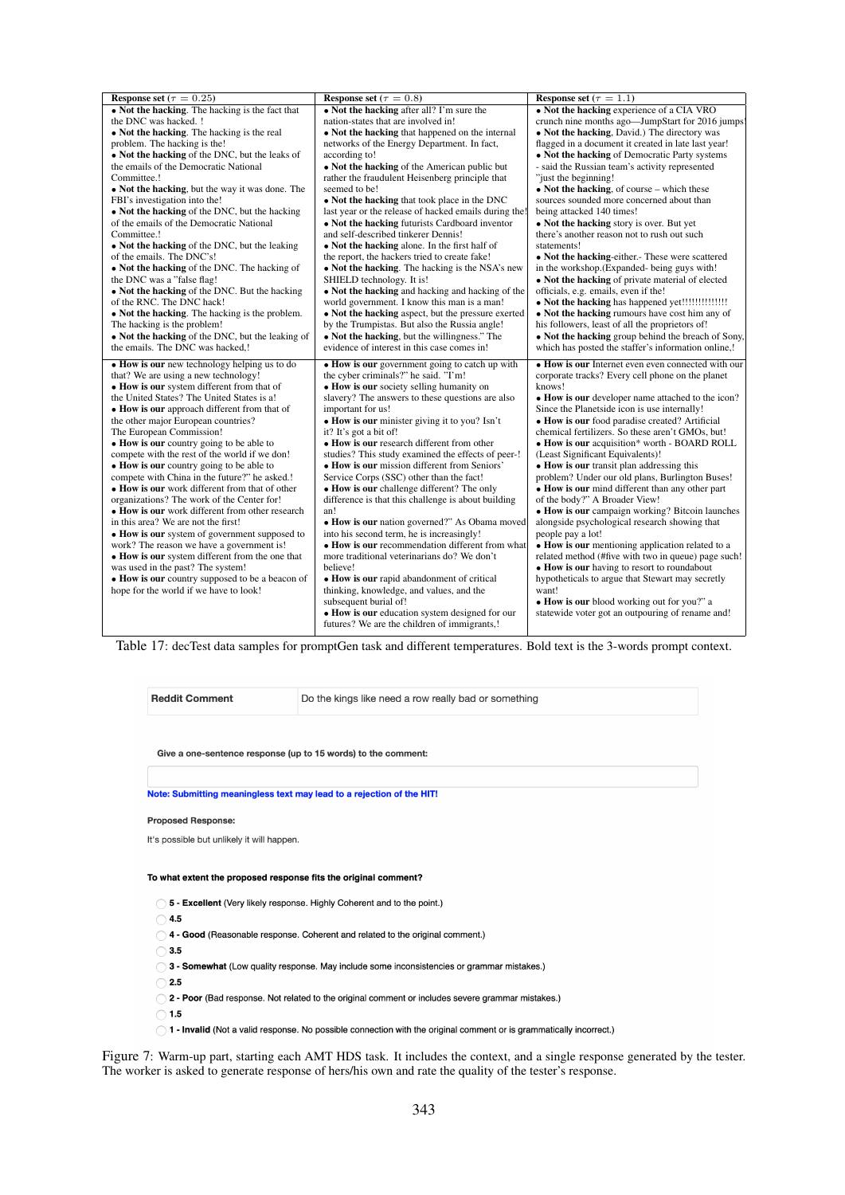| Response set ( $\tau = 0.25$ )                                                                                                                                                                                                                                                                                                                                                                                                                                                                                                                                                                                                                   | Response set ( $\tau = 0.8$ )                                                                                                                                                                                                                                                                                                                                                                                                                                                                                                                                                                      | Response set ( $\tau = 1.1$ )                                                                                                                                                                                                                                                                                                                                                                                                                                                                                                                                                                                                                          |
|--------------------------------------------------------------------------------------------------------------------------------------------------------------------------------------------------------------------------------------------------------------------------------------------------------------------------------------------------------------------------------------------------------------------------------------------------------------------------------------------------------------------------------------------------------------------------------------------------------------------------------------------------|----------------------------------------------------------------------------------------------------------------------------------------------------------------------------------------------------------------------------------------------------------------------------------------------------------------------------------------------------------------------------------------------------------------------------------------------------------------------------------------------------------------------------------------------------------------------------------------------------|--------------------------------------------------------------------------------------------------------------------------------------------------------------------------------------------------------------------------------------------------------------------------------------------------------------------------------------------------------------------------------------------------------------------------------------------------------------------------------------------------------------------------------------------------------------------------------------------------------------------------------------------------------|
| • Not the hacking. The hacking is the fact that                                                                                                                                                                                                                                                                                                                                                                                                                                                                                                                                                                                                  | • Not the hacking after all? I'm sure the                                                                                                                                                                                                                                                                                                                                                                                                                                                                                                                                                          | • Not the hacking experience of a CIA VRO                                                                                                                                                                                                                                                                                                                                                                                                                                                                                                                                                                                                              |
| the DNC was hacked. !                                                                                                                                                                                                                                                                                                                                                                                                                                                                                                                                                                                                                            | nation-states that are involved in!                                                                                                                                                                                                                                                                                                                                                                                                                                                                                                                                                                | crunch nine months ago—JumpStart for 2016 jumps                                                                                                                                                                                                                                                                                                                                                                                                                                                                                                                                                                                                        |
| • Not the hacking. The hacking is the real                                                                                                                                                                                                                                                                                                                                                                                                                                                                                                                                                                                                       | • Not the hacking that happened on the internal                                                                                                                                                                                                                                                                                                                                                                                                                                                                                                                                                    | • Not the hacking, David.) The directory was                                                                                                                                                                                                                                                                                                                                                                                                                                                                                                                                                                                                           |
| problem. The hacking is the!                                                                                                                                                                                                                                                                                                                                                                                                                                                                                                                                                                                                                     | networks of the Energy Department. In fact,                                                                                                                                                                                                                                                                                                                                                                                                                                                                                                                                                        | flagged in a document it created in late last year!                                                                                                                                                                                                                                                                                                                                                                                                                                                                                                                                                                                                    |
| • Not the hacking of the DNC, but the leaks of                                                                                                                                                                                                                                                                                                                                                                                                                                                                                                                                                                                                   | according to!                                                                                                                                                                                                                                                                                                                                                                                                                                                                                                                                                                                      | • Not the hacking of Democratic Party systems                                                                                                                                                                                                                                                                                                                                                                                                                                                                                                                                                                                                          |
| the emails of the Democratic National                                                                                                                                                                                                                                                                                                                                                                                                                                                                                                                                                                                                            | • Not the hacking of the American public but                                                                                                                                                                                                                                                                                                                                                                                                                                                                                                                                                       | - said the Russian team's activity represented                                                                                                                                                                                                                                                                                                                                                                                                                                                                                                                                                                                                         |
| Committee.!                                                                                                                                                                                                                                                                                                                                                                                                                                                                                                                                                                                                                                      | rather the fraudulent Heisenberg principle that                                                                                                                                                                                                                                                                                                                                                                                                                                                                                                                                                    | "just the beginning!                                                                                                                                                                                                                                                                                                                                                                                                                                                                                                                                                                                                                                   |
| • Not the hacking, but the way it was done. The                                                                                                                                                                                                                                                                                                                                                                                                                                                                                                                                                                                                  | seemed to be!                                                                                                                                                                                                                                                                                                                                                                                                                                                                                                                                                                                      | $\bullet$ Not the hacking, of course – which these                                                                                                                                                                                                                                                                                                                                                                                                                                                                                                                                                                                                     |
| FBI's investigation into the!                                                                                                                                                                                                                                                                                                                                                                                                                                                                                                                                                                                                                    | • Not the hacking that took place in the DNC                                                                                                                                                                                                                                                                                                                                                                                                                                                                                                                                                       | sources sounded more concerned about than                                                                                                                                                                                                                                                                                                                                                                                                                                                                                                                                                                                                              |
| • Not the hacking of the DNC, but the hacking                                                                                                                                                                                                                                                                                                                                                                                                                                                                                                                                                                                                    | last year or the release of hacked emails during the!                                                                                                                                                                                                                                                                                                                                                                                                                                                                                                                                              | being attacked 140 times!                                                                                                                                                                                                                                                                                                                                                                                                                                                                                                                                                                                                                              |
| of the emails of the Democratic National                                                                                                                                                                                                                                                                                                                                                                                                                                                                                                                                                                                                         | • Not the hacking futurists Cardboard inventor                                                                                                                                                                                                                                                                                                                                                                                                                                                                                                                                                     | • Not the hacking story is over. But yet                                                                                                                                                                                                                                                                                                                                                                                                                                                                                                                                                                                                               |
| Committee.!                                                                                                                                                                                                                                                                                                                                                                                                                                                                                                                                                                                                                                      | and self-described tinkerer Dennis!                                                                                                                                                                                                                                                                                                                                                                                                                                                                                                                                                                | there's another reason not to rush out such                                                                                                                                                                                                                                                                                                                                                                                                                                                                                                                                                                                                            |
| • Not the hacking of the DNC, but the leaking                                                                                                                                                                                                                                                                                                                                                                                                                                                                                                                                                                                                    | • Not the hacking alone. In the first half of                                                                                                                                                                                                                                                                                                                                                                                                                                                                                                                                                      | statements!                                                                                                                                                                                                                                                                                                                                                                                                                                                                                                                                                                                                                                            |
| of the emails. The DNC's!                                                                                                                                                                                                                                                                                                                                                                                                                                                                                                                                                                                                                        | the report, the hackers tried to create fake!                                                                                                                                                                                                                                                                                                                                                                                                                                                                                                                                                      | • Not the hacking-either. These were scattered                                                                                                                                                                                                                                                                                                                                                                                                                                                                                                                                                                                                         |
| • Not the hacking of the DNC. The hacking of                                                                                                                                                                                                                                                                                                                                                                                                                                                                                                                                                                                                     | • Not the hacking. The hacking is the NSA's new                                                                                                                                                                                                                                                                                                                                                                                                                                                                                                                                                    | in the workshop.(Expanded-being guys with!                                                                                                                                                                                                                                                                                                                                                                                                                                                                                                                                                                                                             |
|                                                                                                                                                                                                                                                                                                                                                                                                                                                                                                                                                                                                                                                  |                                                                                                                                                                                                                                                                                                                                                                                                                                                                                                                                                                                                    |                                                                                                                                                                                                                                                                                                                                                                                                                                                                                                                                                                                                                                                        |
| the DNC was a "false flag!                                                                                                                                                                                                                                                                                                                                                                                                                                                                                                                                                                                                                       | SHIELD technology. It is!                                                                                                                                                                                                                                                                                                                                                                                                                                                                                                                                                                          | • Not the hacking of private material of elected                                                                                                                                                                                                                                                                                                                                                                                                                                                                                                                                                                                                       |
| • Not the hacking of the DNC. But the hacking                                                                                                                                                                                                                                                                                                                                                                                                                                                                                                                                                                                                    | • Not the hacking and hacking and hacking of the                                                                                                                                                                                                                                                                                                                                                                                                                                                                                                                                                   | officials, e.g. emails, even if the!                                                                                                                                                                                                                                                                                                                                                                                                                                                                                                                                                                                                                   |
| of the RNC. The DNC hack!                                                                                                                                                                                                                                                                                                                                                                                                                                                                                                                                                                                                                        | world government. I know this man is a man!                                                                                                                                                                                                                                                                                                                                                                                                                                                                                                                                                        |                                                                                                                                                                                                                                                                                                                                                                                                                                                                                                                                                                                                                                                        |
| • Not the hacking. The hacking is the problem.                                                                                                                                                                                                                                                                                                                                                                                                                                                                                                                                                                                                   | • Not the hacking aspect, but the pressure exerted                                                                                                                                                                                                                                                                                                                                                                                                                                                                                                                                                 | • Not the hacking rumours have cost him any of                                                                                                                                                                                                                                                                                                                                                                                                                                                                                                                                                                                                         |
| The hacking is the problem!                                                                                                                                                                                                                                                                                                                                                                                                                                                                                                                                                                                                                      | by the Trumpistas. But also the Russia angle!                                                                                                                                                                                                                                                                                                                                                                                                                                                                                                                                                      | his followers, least of all the proprietors of!                                                                                                                                                                                                                                                                                                                                                                                                                                                                                                                                                                                                        |
| • Not the hacking of the DNC, but the leaking of                                                                                                                                                                                                                                                                                                                                                                                                                                                                                                                                                                                                 | • Not the hacking, but the willingness." The                                                                                                                                                                                                                                                                                                                                                                                                                                                                                                                                                       | • Not the hacking group behind the breach of Sony,                                                                                                                                                                                                                                                                                                                                                                                                                                                                                                                                                                                                     |
| the emails. The DNC was hacked,!                                                                                                                                                                                                                                                                                                                                                                                                                                                                                                                                                                                                                 | evidence of interest in this case comes in!                                                                                                                                                                                                                                                                                                                                                                                                                                                                                                                                                        | which has posted the staffer's information online,!                                                                                                                                                                                                                                                                                                                                                                                                                                                                                                                                                                                                    |
| • How is our new technology helping us to do<br>that? We are using a new technology!<br>• How is our system different from that of<br>the United States? The United States is a!<br>• How is our approach different from that of<br>the other major European countries?<br>The European Commission!<br>• How is our country going to be able to<br>compete with the rest of the world if we don!<br>• How is our country going to be able to<br>compete with China in the future?" he asked.!<br>• How is our work different from that of other<br>organizations? The work of the Center for!<br>• How is our work different from other research | • How is our government going to catch up with<br>the cyber criminals?" he said. "I'm!<br>• How is our society selling humanity on<br>slavery? The answers to these questions are also<br>important for us!<br>• How is our minister giving it to you? Isn't<br>it? It's got a bit of!<br>• How is our research different from other<br>studies? This study examined the effects of peer-!<br>• How is our mission different from Seniors'<br>Service Corps (SSC) other than the fact!<br>• How is our challenge different? The only<br>difference is that this challenge is about building<br>an! | • How is our Internet even even connected with our<br>corporate tracks? Every cell phone on the planet<br>knows!<br>• How is our developer name attached to the icon?<br>Since the Planetside icon is use internally!<br>• How is our food paradise created? Artificial<br>chemical fertilizers. So these aren't GMOs, but!<br>• How is our acquisition* worth - BOARD ROLL<br>(Least Significant Equivalents)!<br>• How is our transit plan addressing this<br>problem? Under our old plans, Burlington Buses!<br>• How is our mind different than any other part<br>of the body?" A Broader View!<br>• How is our campaign working? Bitcoin launches |
| in this area? We are not the first!<br>• How is our system of government supposed to<br>work? The reason we have a government is!<br>• How is our system different from the one that<br>was used in the past? The system!<br>• How is our country supposed to be a beacon of<br>hope for the world if we have to look!                                                                                                                                                                                                                                                                                                                           | • How is our nation governed?" As Obama moved<br>into his second term, he is increasingly!<br>• How is our recommendation different from what<br>more traditional veterinarians do? We don't<br>believe!<br>• How is our rapid abandonment of critical<br>thinking, knowledge, and values, and the<br>subsequent burial of!<br>• How is our education system designed for our<br>futures? We are the children of immigrants,!                                                                                                                                                                      | alongside psychological research showing that<br>people pay a lot!<br>• How is our mentioning application related to a<br>related method (#five with two in queue) page such!<br>• How is our having to resort to roundabout<br>hypotheticals to argue that Stewart may secretly<br>want!<br>• How is our blood working out for you?" a<br>statewide voter got an outpouring of rename and!                                                                                                                                                                                                                                                            |

<span id="page-17-0"></span>Table 17: decTest data samples for promptGen task and different temperatures. Bold text is the 3-words prompt context.

**Reddit Comment** 

Do the kings like need a row really bad or something

Give a one-sentence response (up to 15 words) to the comment:

Note: Submitting meaningless text may lead to a rejection of the HIT!

It's possible but unlikely it will happen.

To what extent the proposed response fits the original comment?

◯ 5 - Excellent (Very likely response. Highly Coherent and to the point.)

 $\bigcirc$  4.5

04 - Good (Reasonable response. Coherent and related to the original comment.)

 $\bigcirc$  3.5

3 - Somewhat (Low quality response. May include some inconsistencies or grammar mistakes.)

 $\bigcirc$  2.5

2 - Poor (Bad response. Not related to the original comment or includes severe grammar mistakes.)

 $\bigcirc$  1.5

01 - Invalid (Not a valid response. No possible connection with the original comment or is grammatically incorrect.)

Figure 7: Warm-up part, starting each AMT HDS task. It includes the context, and a single response generated by the tester. The worker is asked to generate response of hers/his own and rate the quality of the tester's response.

**Proposed Response:**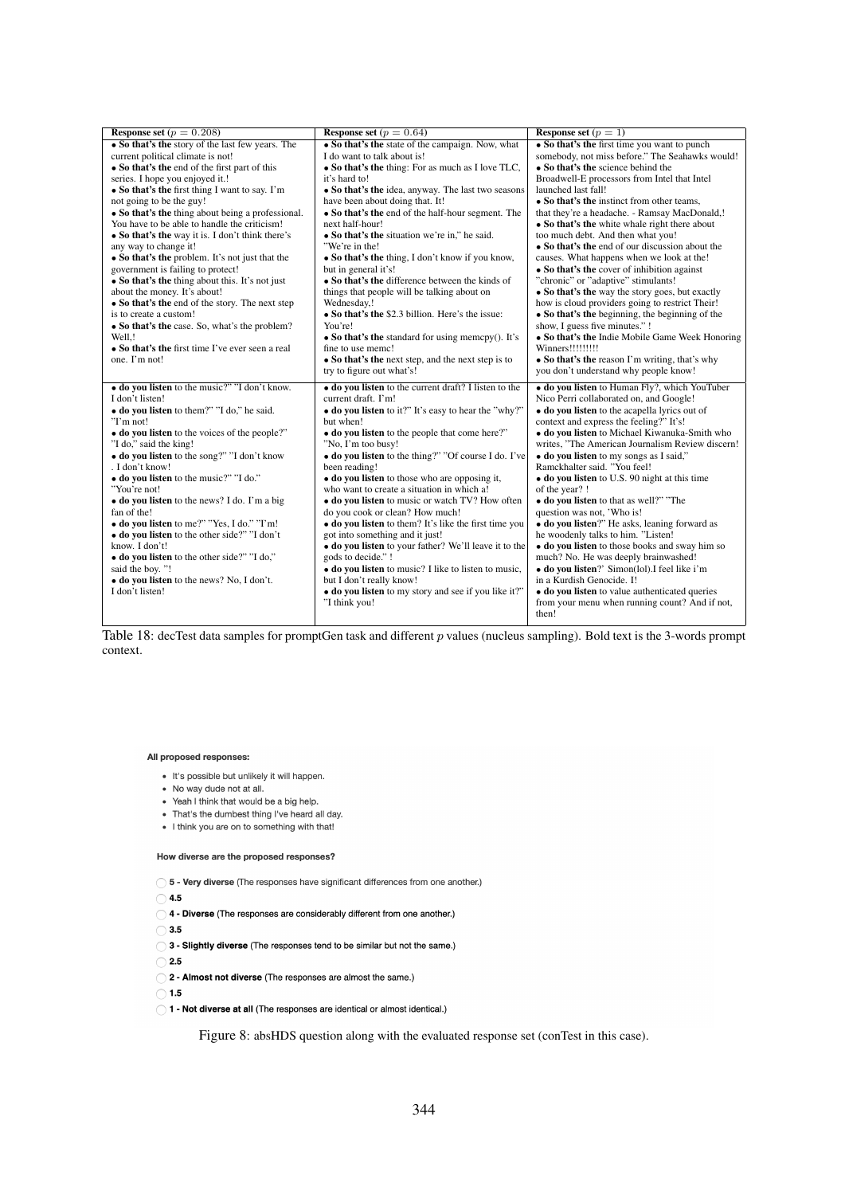| Response set ( $p = 0.208$ )                      | <b>Response set</b> $(p = 0.64)$                      | Response set $(p = 1)$                           |
|---------------------------------------------------|-------------------------------------------------------|--------------------------------------------------|
| • So that's the story of the last few years. The  | • So that's the state of the campaign. Now, what      | • So that's the first time you want to punch     |
| current political climate is not!                 | I do want to talk about is!                           | somebody, not miss before." The Seahawks would!  |
| • So that's the end of the first part of this     | • So that's the thing: For as much as I love TLC,     | • So that's the science behind the               |
| series. I hope you enjoyed it.!                   | it's hard to!                                         | Broadwell-E processors from Intel that Intel     |
| • So that's the first thing I want to say. I'm    | • So that's the idea, anyway. The last two seasons    | launched last fall!                              |
| not going to be the guy!                          | have been about doing that. It!                       | • So that's the instinct from other teams,       |
| • So that's the thing about being a professional. | • So that's the end of the half-hour segment. The     | that they're a headache. - Ramsay MacDonald,!    |
| You have to be able to handle the criticism!      | next half-hour!                                       | • So that's the white whale right there about    |
| • So that's the way it is. I don't think there's  | • So that's the situation we're in," he said.         | too much debt. And then what you!                |
| any way to change it!                             | "We're in the!                                        | • So that's the end of our discussion about the  |
| • So that's the problem. It's not just that the   | • So that's the thing, I don't know if you know,      | causes. What happens when we look at the!        |
| government is failing to protect!                 | but in general it's!                                  | • So that's the cover of inhibition against      |
| • So that's the thing about this. It's not just   | • So that's the difference between the kinds of       | "chronic" or "adaptive" stimulants!              |
| about the money. It's about!                      | things that people will be talking about on           | • So that's the way the story goes, but exactly  |
| • So that's the end of the story. The next step   | Wednesday,!                                           | how is cloud providers going to restrict Their!  |
| is to create a custom!                            | • So that's the \$2.3 billion. Here's the issue:      | • So that's the beginning, the beginning of the  |
| • So that's the case. So, what's the problem?     | You're!                                               | show, I guess five minutes." !                   |
| Well,!                                            | • So that's the standard for using memory(). It's     | • So that's the Indie Mobile Game Week Honoring  |
| • So that's the first time I've ever seen a real  | fine to use memc!                                     | Winners!!!!!!!!!                                 |
| one. I'm not!                                     | • So that's the next step, and the next step is to    | • So that's the reason I'm writing, that's why   |
|                                                   | try to figure out what's!                             | you don't understand why people know!            |
| • do you listen to the music?" "I don't know.     | • do you listen to the current draft? I listen to the | · do you listen to Human Fly?, which YouTuber    |
| I don't listen!                                   | current draft. I'm!                                   | Nico Perri collaborated on, and Google!          |
| • do you listen to them?" "I do," he said.        | • do you listen to it?" It's easy to hear the "why?"  | • do you listen to the acapella lyrics out of    |
| "I'm not!                                         | but when!                                             | context and express the feeling?" It's!          |
| • do you listen to the voices of the people?"     | • do you listen to the people that come here?"        | · do you listen to Michael Kiwanuka-Smith who    |
| "I do," said the king!                            | "No, I'm too busy!                                    | writes, "The American Journalism Review discern! |
| • do you listen to the song?" "I don't know       | • do you listen to the thing?" "Of course I do. I've  | • do you listen to my songs as I said,"          |
| . I don't know!                                   | been reading!                                         | Ramckhalter said. "You feel!                     |
| • do you listen to the music?" "I do."            | • do you listen to those who are opposing it,         | • do you listen to U.S. 90 night at this time    |
| "You're not!                                      | who want to create a situation in which a!            | of the year? !                                   |
| · do you listen to the news? I do. I'm a big      | • do you listen to music or watch TV? How often       | • do you listen to that as well?" "The           |
| fan of the!                                       | do you cook or clean? How much!                       | question was not, 'Who is!                       |
| • do you listen to me?" "Yes, I do." "I'm!        | • do you listen to them? It's like the first time you | • do you listen?" He asks, leaning forward as    |
| • do you listen to the other side?" "I don't      | got into something and it just!                       | he woodenly talks to him. "Listen!               |
| know. I don't!                                    | · do you listen to your father? We'll leave it to the | • do you listen to those books and sway him so   |
| • do you listen to the other side?" "I do,"       | gods to decide." !                                    | much? No. He was deeply brainwashed!             |
| said the boy. "!                                  | • do you listen to music? I like to listen to music,  | • do you listen?' Simon(lol). I feel like i'm    |
| · do you listen to the news? No, I don't.         | but I don't really know!                              | in a Kurdish Genocide. I!                        |
| I don't listen!                                   | • do you listen to my story and see if you like it?"  | • do you listen to value authenticated queries   |
|                                                   | "I think you!                                         | from your menu when running count? And if not,   |
|                                                   |                                                       | then!                                            |

Table 18: decTest data samples for promptGen task and different  $p$  values (nucleus sampling). Bold text is the 3-words prompt context.

#### <span id="page-18-0"></span>All proposed responses:

- · It's possible but unlikely it will happen.
- No way dude not at all.
- Yeah I think that would be a big help.
- That's the dumbest thing I've heard all day.
- I think you are on to something with that!

#### How diverse are the proposed responses?

( 5 - Very diverse (The responses have significant differences from one another.)

 $\bigcirc$  4.5

- 04 Diverse (The responses are considerably different from one another.)
- $\bigcirc$  3.5

◯ 3 - Slightly diverse (The responses tend to be similar but not the same.)

 $\bigcap$  2.5

2 - Almost not diverse (The responses are almost the same.)

 $\bigcap$  1.5

#### ( ) 1 - Not diverse at all (The responses are identical or almost identical.)

Figure 8: absHDS question along with the evaluated response set (conTest in this case).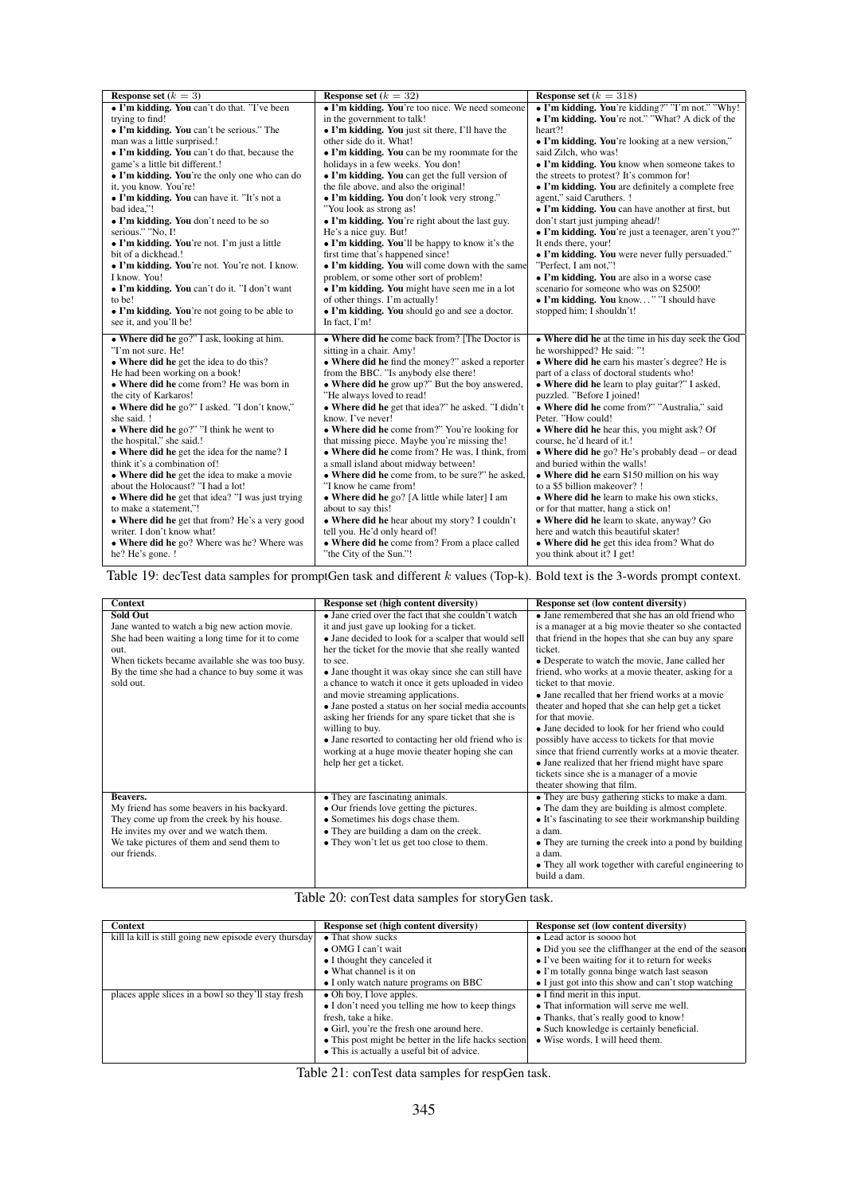<span id="page-19-0"></span>

| <b>Response set</b> $(k = 3)$                    | <b>Response set</b> $(k = 32)$                     | <b>Response set</b> $(k = 318)$                     |
|--------------------------------------------------|----------------------------------------------------|-----------------------------------------------------|
| • I'm kidding. You can't do that. "I've been     | • I'm kidding. You're too nice. We need someone    | • I'm kidding. You're kidding?" "I'm not." "Why!    |
| trying to find!                                  | in the government to talk!                         | • I'm kidding. You're not." "What? A dick of the    |
| • I'm kidding. You can't be serious." The        | • I'm kidding. You just sit there, I'll have the   | heart?!                                             |
| man was a little surprised.!                     | other side do it. What!                            | • I'm kidding. You're looking at a new version,"    |
| • I'm kidding. You can't do that, because the    | • I'm kidding. You can be my roommate for the      | said Zilch, who was!                                |
| game's a little bit different.!                  | holidays in a few weeks. You don!                  | • I'm kidding. You know when someone takes to       |
| • I'm kidding. You're the only one who can do    | • I'm kidding. You can get the full version of     | the streets to protest? It's common for!            |
| it, you know. You're!                            | the file above, and also the original!             | • I'm kidding. You are definitely a complete free   |
| • I'm kidding. You can have it. "It's not a      | • I'm kidding. You don't look very strong."        | agent," said Caruthers. !                           |
| bad idea,"!                                      | "You look as strong as!                            | • I'm kidding. You can have another at first, but   |
| • I'm kidding. You don't need to be so           | • I'm kidding. You're right about the last guy.    | don't start just jumping ahead/!                    |
| serious." "No, I!                                | He's a nice guy. But!                              | • I'm kidding. You're just a teenager, aren't you?" |
| • I'm kidding. You're not. I'm just a little     | • I'm kidding. You'll be happy to know it's the    | It ends there, your!                                |
| bit of a dickhead.!                              | first time that's happened since!                  | • I'm kidding. You were never fully persuaded."     |
| • I'm kidding. You're not. You're not. I know.   | • I'm kidding. You will come down with the same    | "Perfect, I am not,"!                               |
| I know. You!                                     | problem, or some other sort of problem!            | • I'm kidding. You are also in a worse case         |
| • I'm kidding. You can't do it. "I don't want    | • I'm kidding. You might have seen me in a lot     | scenario for someone who was on \$2500!             |
| to be!                                           | of other things. I'm actually!                     | • I'm kidding. You know" "I should have             |
| • I'm kidding. You're not going to be able to    | • I'm kidding. You should go and see a doctor.     | stopped him; I shouldn't!                           |
| see it, and you'll be!                           | In fact, I'm!                                      |                                                     |
| • Where did he go?" I ask, looking at him.       | • Where did he come back from? [The Doctor is      | • Where did he at the time in his day seek the God  |
| "I'm not sure. He!                               | sitting in a chair. Amy!                           | he worshipped? He said: "!                          |
| • Where did he get the idea to do this?          | • Where did he find the money?" asked a reporter   | • Where did he earn his master's degree? He is      |
| He had been working on a book!                   | from the BBC. "Is anybody else there!              | part of a class of doctoral students who!           |
| • Where did he come from? He was born in         | • Where did he grow up?" But the boy answered,     | • Where did he learn to play guitar?" I asked,      |
| the city of Karkaros!                            | "He always loved to read!                          | puzzled. "Before I joined!                          |
| • Where did he go?" I asked. "I don't know,"     | • Where did he get that idea?" he asked. "I didn't | • Where did he come from?" "Australia," said        |
| she said. !                                      | know. I've never!                                  | Peter. "How could!                                  |
| • Where did he go?" "I think he went to          | • Where did he come from?" You're looking for      | • Where did he hear this, you might ask? Of         |
| the hospital," she said.!                        | that missing piece. Maybe you're missing the!      | course, he'd heard of it.!                          |
| • Where did he get the idea for the name? I      | • Where did he come from? He was, I think, from    | • Where did he go? He's probably dead $-$ or dead   |
| think it's a combination of!                     | a small island about midway between!               | and buried within the walls!                        |
| • Where did he get the idea to make a movie      | • Where did he come from, to be sure?" he asked,   | • Where did he earn \$150 million on his way        |
| about the Holocaust? "I had a lot!               | "I know he came from!                              | to a \$5 billion makeover? !                        |
| • Where did he get that idea? "I was just trying | • Where did he go? [A little while later] I am     | • Where did he learn to make his own sticks,        |
| to make a statement,"!                           | about to say this!                                 | or for that matter, hang a stick on!                |
| • Where did he get that from? He's a very good   | • Where did he hear about my story? I couldn't     | • Where did he learn to skate, anyway? Go           |
| writer. I don't know what!                       | tell you. He'd only heard of!                      | here and watch this beautiful skater!               |
| • Where did he go? Where was he? Where was       | • Where did he come from? From a place called      | • Where did he get this idea from? What do          |
| he? He's gone. !                                 | "the City of the Sun."!                            | you think about it? I get!                          |

Table 19: decTest data samples for promptGen task and different k values (Top-k). Bold text is the 3-words prompt context.

<span id="page-19-1"></span>

| <b>Context</b>                                                                                                                                                                                                                                | Response set (high content diversity)                                                                                                                                                                                                                                                                                                                                                                                                                                                                                                                                                                                                            | Response set (low content diversity)                                                                                                                                                                                                                                                                                                                                                                                                                                                                                                                                                                                                                      |
|-----------------------------------------------------------------------------------------------------------------------------------------------------------------------------------------------------------------------------------------------|--------------------------------------------------------------------------------------------------------------------------------------------------------------------------------------------------------------------------------------------------------------------------------------------------------------------------------------------------------------------------------------------------------------------------------------------------------------------------------------------------------------------------------------------------------------------------------------------------------------------------------------------------|-----------------------------------------------------------------------------------------------------------------------------------------------------------------------------------------------------------------------------------------------------------------------------------------------------------------------------------------------------------------------------------------------------------------------------------------------------------------------------------------------------------------------------------------------------------------------------------------------------------------------------------------------------------|
| <b>Sold Out</b><br>Jane wanted to watch a big new action movie.<br>She had been waiting a long time for it to come<br>out.<br>When tickets became available she was too busy.<br>By the time she had a chance to buy some it was<br>sold out. | • Jane cried over the fact that she couldn't watch<br>it and just gave up looking for a ticket.<br>• Jane decided to look for a scalper that would sell<br>her the ticket for the movie that she really wanted<br>to see.<br>• Jane thought it was okay since she can still have<br>a chance to watch it once it gets uploaded in video<br>and movie streaming applications.<br>• Jane posted a status on her social media accounts<br>asking her friends for any spare ticket that she is<br>willing to buy.<br>• Jane resorted to contacting her old friend who is<br>working at a huge movie theater hoping she can<br>help her get a ticket. | • Jane remembered that she has an old friend who<br>is a manager at a big movie theater so she contacted<br>that friend in the hopes that she can buy any spare<br>ticket.<br>• Desperate to watch the movie, Jane called her<br>friend, who works at a movie theater, asking for a<br>ticket to that movie.<br>• Jane recalled that her friend works at a movie<br>theater and hoped that she can help get a ticket<br>for that movie.<br>• Jane decided to look for her friend who could<br>possibly have access to tickets for that movie<br>since that friend currently works at a movie theater.<br>• Jane realized that her friend might have spare |
| Beavers.<br>My friend has some beavers in his backyard.<br>They come up from the creek by his house.<br>He invites my over and we watch them.<br>We take pictures of them and send them to<br>our friends.                                    | • They are fascinating animals.<br>• Our friends love getting the pictures.<br>• Sometimes his dogs chase them.<br>• They are building a dam on the creek.<br>• They won't let us get too close to them.                                                                                                                                                                                                                                                                                                                                                                                                                                         | tickets since she is a manager of a movie<br>theater showing that film.<br>• They are busy gathering sticks to make a dam.<br>• The dam they are building is almost complete.<br>• It's fascinating to see their workmanship building<br>a dam.<br>• They are turning the creek into a pond by building<br>a dam.<br>• They all work together with careful engineering to<br>build a dam.                                                                                                                                                                                                                                                                 |

Table 20: conTest data samples for storyGen task.

| <b>Context</b>                                         | Response set (high content diversity)                    | <b>Response set (low content diversity)</b>            |
|--------------------------------------------------------|----------------------------------------------------------|--------------------------------------------------------|
| kill la kill is still going new episode every thursday | • That show sucks                                        | • Lead actor is soooo hot                              |
|                                                        | $\bullet$ OMG I can't wait                               | • Did you see the cliffhanger at the end of the season |
|                                                        | • I thought they canceled it                             | • I've been waiting for it to return for weeks         |
|                                                        | • What channel is it on                                  | $\bullet$ I'm totally gonna binge watch last season    |
|                                                        | • I only watch nature programs on BBC                    | • I just got into this show and can't stop watching    |
| places apple slices in a bowl so they'll stay fresh    | $\bullet$ Oh boy, I love apples.                         | $\bullet$ I find merit in this input.                  |
|                                                        | $\bullet$ I don't need you telling me how to keep things | • That information will serve me well.                 |
|                                                        | fresh, take a hike.                                      | • Thanks, that's really good to know!                  |
|                                                        | • Girl, you're the fresh one around here.                | • Such knowledge is certainly beneficial.              |
|                                                        | • This post might be better in the life hacks section.   | • Wise words, I will heed them.                        |
|                                                        | • This is actually a useful bit of advice.               |                                                        |

Table 21: conTest data samples for respGen task.